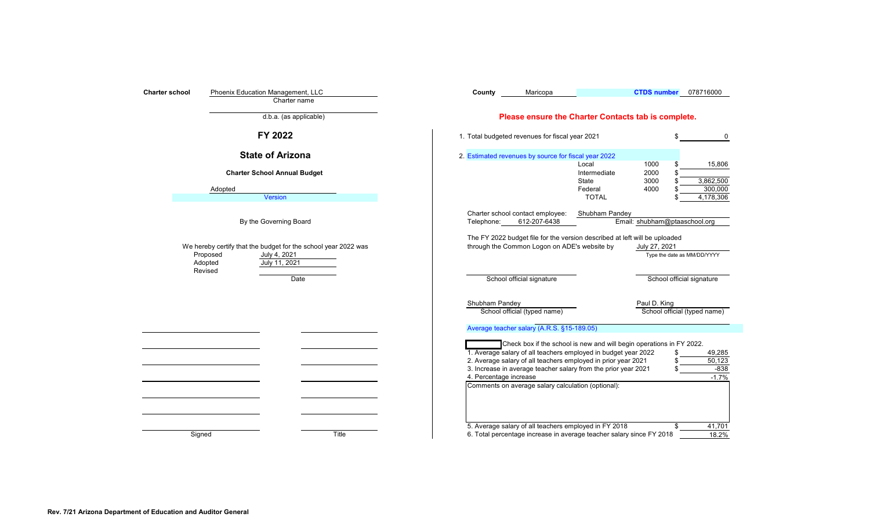<span id="page-0-0"></span>

| Phoenix Education Management, LLC<br><b>Charter school</b><br>Charter name | <b>CTDS number</b><br>078716000<br>County<br>Maricopa                                                                                                                                                                                                                                                                                                                                          |
|----------------------------------------------------------------------------|------------------------------------------------------------------------------------------------------------------------------------------------------------------------------------------------------------------------------------------------------------------------------------------------------------------------------------------------------------------------------------------------|
| d.b.a. (as applicable)                                                     | Please ensure the Charter Contacts tab is complete.                                                                                                                                                                                                                                                                                                                                            |
| FY 2022                                                                    | 1. Total budgeted revenues for fiscal year 2021                                                                                                                                                                                                                                                                                                                                                |
| <b>State of Arizona</b>                                                    | 2. Estimated revenues by source for fiscal year 2022                                                                                                                                                                                                                                                                                                                                           |
| <b>Charter School Annual Budget</b><br>Adopted                             | Local<br>1000<br>15,806<br>Intermediate<br>2000<br>State<br>3000<br>3,862,500<br>4000<br>300,000<br>Federal                                                                                                                                                                                                                                                                                    |
| <b>Version</b>                                                             | <b>TOTAL</b><br>4,178,306<br>Charter school contact employee:<br>Shubham Pandey                                                                                                                                                                                                                                                                                                                |
| By the Governing Board                                                     | Email: shubham@ptaaschool.org<br>612-207-6438<br>Telephone:                                                                                                                                                                                                                                                                                                                                    |
| Proposed<br>July 4, 2021<br>July 11, 2021<br>Adopted<br>Revised<br>Date    | Type the date as MM/DD/YYYY<br>School official signature<br>School official signature                                                                                                                                                                                                                                                                                                          |
|                                                                            | Shubham Pandey<br>Paul D. King                                                                                                                                                                                                                                                                                                                                                                 |
|                                                                            | School official (typed name)<br>School official (typed name)                                                                                                                                                                                                                                                                                                                                   |
|                                                                            | Average teacher salary (A.R.S. §15-189.05)                                                                                                                                                                                                                                                                                                                                                     |
|                                                                            | Check box if the school is new and will begin operations in FY 2022.<br>1. Average salary of all teachers employed in budget year 2022<br>\$<br>49,285<br>2. Average salary of all teachers employed in prior year 2021<br>50,123<br>3. Increase in average teacher salary from the prior year 2021<br>$-1.7%$<br>4. Percentage increase<br>Comments on average salary calculation (optional): |
| Signed<br>Title                                                            | 5. Average salary of all teachers employed in FY 2018<br>41,701<br>6. Total percentage increase in average teacher salary since FY 2018<br>18.2%                                                                                                                                                                                                                                               |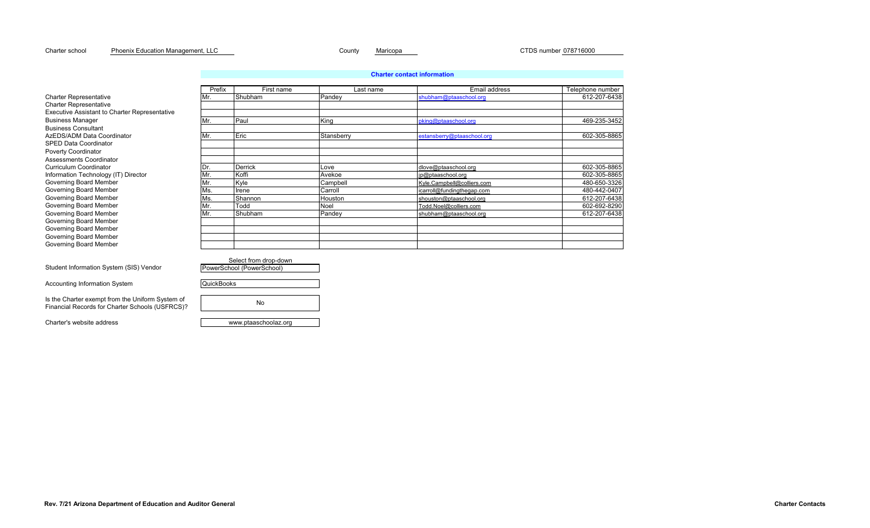#### Charter school County Maricopa CTDS number 078716000 Phoenix Education Management, LLC

|                                                                                                     |                   | <b>Charter contact information</b> |            |                            |                  |  |  |  |
|-----------------------------------------------------------------------------------------------------|-------------------|------------------------------------|------------|----------------------------|------------------|--|--|--|
|                                                                                                     | Prefix            | First name                         | Last name  | Email address              | Telephone number |  |  |  |
| <b>Charter Representative</b>                                                                       | Mr.               | Shubham                            | Pandey     | shubham@ptaaschool.org     | 612-207-6438     |  |  |  |
| <b>Charter Representative</b>                                                                       |                   |                                    |            |                            |                  |  |  |  |
| <b>Executive Assistant to Charter Representative</b>                                                |                   |                                    |            |                            |                  |  |  |  |
| <b>Business Manager</b>                                                                             | Mr.               | Paul                               | King       | pking@ptaaschool.org       | 469-235-3452     |  |  |  |
| <b>Business Consultant</b>                                                                          |                   |                                    |            |                            |                  |  |  |  |
| AzEDS/ADM Data Coordinator                                                                          | Mr.               | Eric                               | Stansberry | estansberry@ptaaschool.org | 602-305-8865     |  |  |  |
| <b>SPED Data Coordinator</b>                                                                        |                   |                                    |            |                            |                  |  |  |  |
| Poverty Coordinator                                                                                 |                   |                                    |            |                            |                  |  |  |  |
| Assessments Coordinator                                                                             |                   |                                    |            |                            |                  |  |  |  |
| <b>Curriculum Coordinator</b>                                                                       | IDr.              | Derrick                            | Love       | dlove@ptaaschool.org       | 602-305-8865     |  |  |  |
| Information Technology (IT) Director                                                                | Mr.               | Koffi                              | Avekoe     | jp@ptaaschool.org          | 602-305-8865     |  |  |  |
| Governing Board Member                                                                              | Mr.               | Kyle                               | Campbell   | Kyle.Campbell@colliers.com | 480-650-3326     |  |  |  |
| Governing Board Member                                                                              | Ms.               | Irene                              | Carroll    | icarroll@fundingthegap.com | 480-442-0407     |  |  |  |
| Governing Board Member                                                                              | Ms.               | Shannon                            | Houston    | shouston@ptaaschool.org    | 612-207-6438     |  |  |  |
| Governing Board Member                                                                              | Mr.               | Todd                               | Noel       | Todd.Noel@colliers.com     | 602-692-8290     |  |  |  |
| Governing Board Member                                                                              | Mr.               | Shubham                            | Pandey     | shubham@ptaaschool.org     | 612-207-6438     |  |  |  |
| Governing Board Member                                                                              |                   |                                    |            |                            |                  |  |  |  |
| Governing Board Member                                                                              |                   |                                    |            |                            |                  |  |  |  |
| Governing Board Member                                                                              |                   |                                    |            |                            |                  |  |  |  |
| Governing Board Member                                                                              |                   |                                    |            |                            |                  |  |  |  |
|                                                                                                     |                   |                                    |            |                            |                  |  |  |  |
|                                                                                                     |                   | Select from drop-down              |            |                            |                  |  |  |  |
| Student Information System (SIS) Vendor                                                             |                   | PowerSchool (PowerSchool)          |            |                            |                  |  |  |  |
| Accounting Information System                                                                       | <b>QuickBooks</b> |                                    |            |                            |                  |  |  |  |
| Is the Charter exempt from the Uniform System of<br>Financial Records for Charter Schools (USFRCS)? |                   | No                                 |            |                            |                  |  |  |  |
|                                                                                                     |                   |                                    |            |                            |                  |  |  |  |

Charter's website address www.ptaaschoolaz.org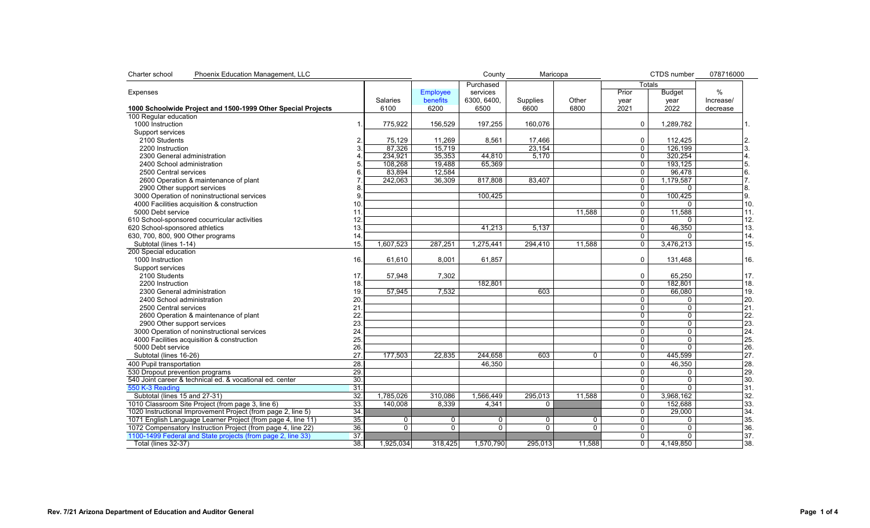<span id="page-2-0"></span>

| Charter school<br>Phoenix Education Management, LLC          |                   |                 |                 | County     | Maricopa       |          |                | CTDS number    | 078716000 |
|--------------------------------------------------------------|-------------------|-----------------|-----------------|------------|----------------|----------|----------------|----------------|-----------|
|                                                              |                   |                 |                 | Purchased  |                |          | Totals         |                |           |
| Expenses                                                     |                   |                 | Employee        | services   |                |          | Prior          | <b>Budget</b>  | %         |
|                                                              |                   | <b>Salaries</b> | <b>benefits</b> | 6300.6400. | Supplies       | Other    | year           | year           | Increase/ |
| 1000 Schoolwide Project and 1500-1999 Other Special Projects |                   | 6100            | 6200            | 6500       | 6600           | 6800     | 2021           | 2022           | decrease  |
| 100 Regular education                                        |                   |                 |                 |            |                |          |                |                |           |
| 1000 Instruction                                             | $\mathbf 1$       | 775,922         | 156,529         | 197,255    | 160,076        |          | $\mathbf 0$    | 1,289,782      |           |
| Support services                                             |                   |                 |                 |            |                |          |                |                |           |
| 2100 Students                                                | 2                 | 75,129          | 11,269          | 8,561      | 17,466         |          | $\mathbf 0$    | 112,425        | 2.        |
| 2200 Instruction                                             | 3                 | 87,326          | 15,719          |            | 23,154         |          | $\mathbf 0$    | 126.199        | 3.        |
| 2300 General administration                                  |                   | 234,921         | 35,353          | 44,810     | 5.170          |          | $\overline{0}$ | 320,254        | 4.        |
| 2400 School administration                                   |                   | 108,268         | 19,488          | 65,369     |                |          | $\overline{0}$ | 193,125        | 5.        |
| 2500 Central services                                        | 6                 | 83,894          | 12,584          |            |                |          | $\overline{0}$ | 96,478         | 6.        |
| 2600 Operation & maintenance of plant                        |                   | 242.063         | 36.309          | 817,808    | 83.407         |          | $\mathbf 0$    | 1.179.587      | 7.        |
|                                                              | 8                 |                 |                 |            |                |          |                |                |           |
| 2900 Other support services                                  | $\mathbf{Q}$      |                 |                 |            |                |          | 0              | 0              | 8.        |
| 3000 Operation of noninstructional services                  |                   |                 |                 | 100,425    |                |          | $\mathbf 0$    | 100,425        | 9.        |
| 4000 Facilities acquisition & construction                   | 10                |                 |                 |            |                |          | $\mathbf 0$    | $\mathbf{0}$   | 10.       |
| 5000 Debt service                                            | 11                |                 |                 |            |                | 11.588   | $\mathbf 0$    | 11,588         | 11.       |
| 610 School-sponsored cocurricular activities                 | 12.               |                 |                 |            |                |          | 0              | $\Omega$       | 12.       |
| 620 School-sponsored athletics                               | 13.               |                 |                 | 41,213     | 5,137          |          | $\overline{0}$ | 46,350         | 13.       |
| 630, 700, 800, 900 Other programs                            | 14                |                 |                 |            |                |          | $\overline{0}$ | $\Omega$       | 14.       |
| Subtotal (lines 1-14)                                        | 15.               | 1,607,523       | 287,251         | 1,275,441  | 294,410        | 11,588   | $\mathbf 0$    | 3,476,213      | 15.       |
| 200 Special education                                        |                   |                 |                 |            |                |          |                |                |           |
| 1000 Instruction                                             | 16.               | 61,610          | 8,001           | 61,857     |                |          | $\mathbf{0}$   | 131,468        | 16.       |
| Support services                                             |                   |                 |                 |            |                |          |                |                |           |
| 2100 Students                                                | 17.               | 57,948          | 7,302           |            |                |          | 0              | 65,250         | 17.       |
| 2200 Instruction                                             | 18.               |                 |                 | 182,801    |                |          | $\overline{0}$ | 182,801        | 18.       |
| 2300 General administration                                  | 19.               | 57,945          | 7.532           |            | 603            |          | $\mathbf 0$    | 66.080         | 19.       |
| 2400 School administration                                   | 20                |                 |                 |            |                |          | 0              | 0              | 20.       |
| 2500 Central services                                        | 21                |                 |                 |            |                |          | $\mathbf 0$    | $\mathbf 0$    | 21.       |
| 2600 Operation & maintenance of plant                        | 22                |                 |                 |            |                |          | $\mathbf 0$    | 0              | 22.       |
| 2900 Other support services                                  | 23                |                 |                 |            |                |          | $\Omega$       | $\Omega$       | 23.       |
| 3000 Operation of noninstructional services                  | 24                |                 |                 |            |                |          | $\mathbf 0$    | 0              | 24.       |
| 4000 Facilities acquisition & construction                   | 25.               |                 |                 |            |                |          | $\overline{0}$ | $\overline{0}$ | 25.       |
| 5000 Debt service                                            | 26                |                 |                 |            |                |          | $\overline{0}$ | $\overline{0}$ | 26.       |
| Subtotal (lines 16-26)                                       | 27                | 177,503         | 22,835          | 244,658    | 603            | 0        | 0              | 445,599        | 27.       |
|                                                              |                   |                 |                 |            |                |          |                |                |           |
| 400 Pupil transportation                                     | $\overline{28}$   |                 |                 | 46,350     |                |          | $\mathbf 0$    | 46,350         | 28.       |
| 530 Dropout prevention programs                              | 29.               |                 |                 |            |                |          | $\mathbf 0$    | 0              | 29.       |
| 540 Joint career & technical ed. & vocational ed. center     | 30.               |                 |                 |            |                |          | $\overline{0}$ | $\overline{0}$ | 30.       |
| 550 K-3 Reading                                              | $\overline{31}$   |                 |                 |            |                |          | $\overline{0}$ | $\mathbf{0}$   | 31.       |
| Subtotal (lines 15 and 27-31)                                | 32.               | 1,785,026       | 310,086         | 1,566,449  | 295,013        | 11,588   | 0              | 3,968,162      | 32.       |
| 1010 Classroom Site Project (from page 3, line 6)            | $\overline{33}$ . | 140,008         | 8,339           | 4,341      | $\Omega$       |          | $\mathbf 0$    | 152,688        | 33.       |
| 1020 Instructional Improvement Project (from page 2, line 5) | 34.               |                 |                 |            |                |          | 0              | 29,000         | 34.       |
| 1071 English Language Learner Project (from page 4, line 11) | 35.               | $\mathbf 0$     | 0               | 0          | $\Omega$       | $\Omega$ | $\mathbf 0$    | 0              | 35.       |
| 1072 Compensatory Instruction Project (from page 4, line 22) | 36.               | $\overline{0}$  | $\overline{0}$  | 0          | $\overline{0}$ | $\Omega$ | $\overline{0}$ | $\overline{0}$ | 36.       |
| 1100-1499 Federal and State projects (from page 2, line 33)  | 37.               |                 |                 |            |                |          | $\mathbf 0$    | $\mathbf 0$    | 37.       |
| Total (lines 32-37)                                          | $\overline{38}$   | 1,925,034       | 318,425         | 1,570,790  | 295,013        | 11,588   | $\overline{0}$ | 4,149,850      | 38.       |
|                                                              |                   |                 |                 |            |                |          |                |                |           |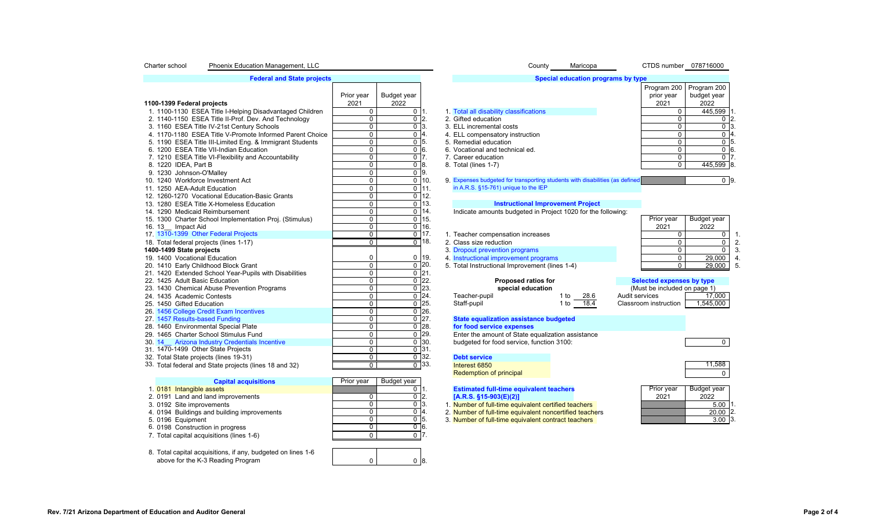#### <span id="page-3-0"></span>Charter school Phoenix Education Management, LLC County Maricopa CTDS number 078716000

| <b>Federal and State projects</b> |  |
|-----------------------------------|--|

|                                                          |                |                    |                    |                                                                              |              |                | Program 200                  | Program 200      |  |
|----------------------------------------------------------|----------------|--------------------|--------------------|------------------------------------------------------------------------------|--------------|----------------|------------------------------|------------------|--|
|                                                          | Prior year     | <b>Budget year</b> |                    |                                                                              |              |                | prior year                   | budget year      |  |
| 1100-1399 Federal projects                               | 2021           | 2022               |                    |                                                                              |              |                | 2021                         | 2022             |  |
| 1. 1100-1130 ESEA Title I-Helping Disadvantaged Children | $\mathbf 0$    | $0\vert 1.$        |                    | 1. Total all disability classifications                                      |              |                | $\Omega$                     | 445,599          |  |
| 2. 1140-1150 ESEA Title II-Prof. Dev. And Technology     | $\mathbf 0$    | $0\sqrt{2}$ .      |                    | 2. Gifted education                                                          |              |                | $\Omega$                     | $\mathbf{0}$     |  |
| 3. 1160 ESEA Title IV-21st Century Schools               | $\mathbf 0$    | $0\vert 3$ .       |                    | 3. ELL incremental costs                                                     |              |                | $\Omega$                     | $\mathbf{0}$     |  |
| 4. 1170-1180 ESEA Title V-Promote Informed Parent Choice | $\mathbf 0$    | $\mathbf{0}$       | $\overline{4}$     | 4. ELL compensatory instruction                                              |              |                | $\Omega$                     | $\mathbf{0}$     |  |
| 5. 1190 ESEA Title III-Limited Eng. & Immigrant Students | $\overline{0}$ | 0 <sup>75</sup>    |                    | 5. Remedial education                                                        |              |                | $\Omega$                     | $\mathbf{0}$     |  |
| 6. 1200 ESEA Title VII-Indian Education                  | $\mathbf 0$    | $\overline{0}$ 6.  |                    | 6. Vocational and technical ed.                                              |              |                | $\Omega$                     | $\overline{0}$ ( |  |
| 7. 1210 ESEA Title VI-Flexibility and Accountability     | $\mathbf 0$    | $0T$ .             |                    | 7. Career education                                                          |              |                | 0                            | $\mathbf{0}$     |  |
| 8. 1220 IDEA, Part B                                     | $\mathbf 0$    | $0^{\circ}8$ .     |                    | 8. Total (lines 1-7)                                                         |              |                | $\Omega$                     | 445,599 8        |  |
| 9. 1230 Johnson-O'Malley                                 | $\mathbf 0$    | $\overline{0}$ 9.  |                    |                                                                              |              |                |                              |                  |  |
| 10. 1240 Workforce Investment Act                        | $\mathbf 0$    | $\mathbf 0$        | 10.                | 9. Expenses budgeted for transporting students with disabilities (as defined |              |                |                              | 0 <sup>9</sup>   |  |
| 11. 1250 AEA-Adult Education                             | $\mathbf 0$    | $\mathbf 0$        | 11.                | in A.R.S. §15-761) unique to the IEP                                         |              |                |                              |                  |  |
| 12. 1260-1270 Vocational Education-Basic Grants          | $\mathbf 0$    | $\pmb{0}$          | 12.                |                                                                              |              |                |                              |                  |  |
| 13. 1280 ESEA Title X-Homeless Education                 | $\mathbf 0$    | $\mathbf 0$        | 13.                | <b>Instructional Improvement Project</b>                                     |              |                |                              |                  |  |
| 14. 1290 Medicaid Reimbursement                          | $\overline{0}$ | $\mathbf 0$        | 14.                | Indicate amounts budgeted in Project 1020 for the following:                 |              |                |                              |                  |  |
| 15. 1300 Charter School Implementation Proj. (Stimulus)  | $\mathbf 0$    | $\mathbf 0$        | 15.                |                                                                              |              |                | Prior year                   | Budget year      |  |
| 16. 13 Impact Aid                                        | $\mathbf 0$    | $\pmb{0}$          | 16.                |                                                                              |              |                | 2021                         | 2022             |  |
| 17. 1310-1399 Other Federal Projects                     | $\Omega$       | $\Omega$           | 17.                | 1. Teacher compensation increases                                            |              |                | $\Omega$                     | $\Omega$         |  |
| 18. Total federal projects (lines 1-17)                  | $\Omega$       |                    | $0$ 18.            | 2. Class size reduction                                                      |              |                | 0                            | $\Omega$         |  |
| 1400-1499 State projects                                 |                |                    |                    | 3. Dropout prevention programs                                               |              |                | 0                            | $\Omega$         |  |
| 19. 1400 Vocational Education                            | $\mathbf 0$    |                    | $0$ 19.            | 4. Instructional improvement programs                                        |              |                | $\Omega$                     | 29,000           |  |
| 20. 1410 Early Childhood Block Grant                     | $\overline{0}$ | $\mathbf 0$        | 120.               | 5. Total Instructional Improvement (lines 1-4)                               |              |                | $\Omega$                     | 29,000           |  |
| 21. 1420 Extended School Year-Pupils with Disabilities   | $\mathbf 0$    | $\Omega$           | T21.               |                                                                              |              |                |                              |                  |  |
| 22. 1425 Adult Basic Education                           | $\mathbf 0$    | $\mathbf 0$        | 122.               | <b>Proposed ratios for</b>                                                   |              |                | Selected expenses by type    |                  |  |
| 23. 1430 Chemical Abuse Prevention Programs              | $\overline{0}$ | 0                  | 123.               | special education                                                            |              |                | (Must be included on page 1) |                  |  |
| 24. 1435 Academic Contests                               | $\mathbf 0$    |                    | $\overline{0}$ 24. | Teacher-pupil                                                                | 1 to<br>28.6 | Audit services |                              | 17,000           |  |
| 25. 1450 Gifted Education                                | $\mathbf 0$    |                    | $\overline{0}$ 25. | Staff-pupil                                                                  | 1 to $18.4$  |                | Classroom instruction        | 1,545,000        |  |
| 26. 1456 College Credit Exam Incentives                  | $\overline{0}$ |                    | $\overline{0}$ 26. |                                                                              |              |                |                              |                  |  |
| 27. 1457 Results-based Funding                           | $\mathbf 0$    |                    | $\overline{0}$ 27. | State equalization assistance budgeted                                       |              |                |                              |                  |  |
| 28. 1460 Environmental Special Plate                     | $\mathbf 0$    |                    | $\overline{0}$ 28. | for food service expenses                                                    |              |                |                              |                  |  |
| 29. 1465 Charter School Stimulus Fund                    | $\overline{0}$ |                    | $\overline{0}$ 29. | Enter the amount of State equalization assistance                            |              |                |                              |                  |  |
| <b>Arizona Industry Credentials Incentive</b><br>30.14   | $\mathbf 0$    |                    | $\overline{0}$ 30. | budgeted for food service, function 3100:                                    |              |                |                              | $\mathbf{0}$     |  |
| 31, 1470-1499 Other State Projects                       | $\mathbf 0$    |                    | $0$ 31.            |                                                                              |              |                |                              |                  |  |
| 32. Total State projects (lines 19-31)                   | $\overline{0}$ |                    | $\sqrt{0}$ 32.     | <b>Debt service</b>                                                          |              |                |                              |                  |  |
| 33. Total federal and State projects (lines 18 and 32)   | $\overline{0}$ |                    | $0$ 33.            | Interest 6850                                                                |              |                |                              | 11,588           |  |

| Prior year<br><b>Capital acquisitions</b>   |  | Budget year |  |                                                         |            |             |                                          |
|---------------------------------------------|--|-------------|--|---------------------------------------------------------|------------|-------------|------------------------------------------|
| 1. 0181 Intangible assets                   |  |             |  | <b>Estimated full-time equivalent teachers</b>          | Prior year | Budget year |                                          |
| 2. 0191 Land and land improvements          |  |             |  | $[A.R.S. §15-903(E)(2)]$                                | 2021       | 2022        |                                          |
| 3. 0192 Site improvements                   |  | 013.        |  | 1. Number of full-time equivalent certified teachers    |            |             |                                          |
| 4. 0194 Buildings and building improvements |  | 014         |  | 2. Number of full-time equivalent noncertified teachers |            |             |                                          |
| 5. 0196 Equipment                           |  | 015         |  | 3. Number of full-time equivalent contract teachers     |            |             |                                          |
| 6. 0198 Construction in progress            |  | 016.        |  |                                                         |            |             |                                          |
| 7. Total capital acquisitions (lines 1-6)   |  |             |  |                                                         |            |             |                                          |
|                                             |  |             |  |                                                         |            |             |                                          |
|                                             |  |             |  |                                                         |            |             | $5.00$ $\mid$<br>$20.00$ 2.<br>$3.00$ 3. |

8. Total capital acquisitions, if any, budgeted on lines 1-6 above for the K-3 Reading Program

# **[Special education programs by type](#page-17-0)**

|                            |            | Program 200   Program 200 |      |
|----------------------------|------------|---------------------------|------|
|                            | prior year | budget year               |      |
|                            | 2021       | 2022                      |      |
| disability classifications |            | 445,599                   | l 1. |
| ducation                   |            |                           | 12.  |
| remental costs             |            |                           | ΙЗ.  |
| npensatory instruction     |            |                           | 14.  |
| al education               |            |                           | 15.  |
| nal and technical ed.      |            |                           | 16.  |
| education                  |            |                           |      |
| nes 1-7)                   |            | 445,599 8.                |      |
|                            |            |                           |      |

# 13. **1280 [Instructional Improvement Project](#page-18-0)**<br>14. **Indicate amounts budgeted in Project** 1020 for the

| 14. 1290 Medicaid Reimbursement                         |  | 0114.   | Indicate amounts budgeted in Project 1020 for the following: |            |             |  |
|---------------------------------------------------------|--|---------|--------------------------------------------------------------|------------|-------------|--|
| 15. 1300 Charter School Implementation Proj. (Stimulus) |  | 0 15.   |                                                              | Prior year | Budget year |  |
| 16.13<br>Impact Aid                                     |  | 0 116.  |                                                              | 2021       | 2022        |  |
| 17 1310-1399 Other Federal Projects                     |  |         | . Teacher compensation increases                             |            |             |  |
| 18. Total federal projects (lines 1-17)                 |  | n 118.  | 2. Class size reduction                                      |            |             |  |
| 1400-1499 State projects                                |  |         | 3. Dropout prevention programs                               |            |             |  |
| 19. 1400 Vocational Education                           |  | $0$ 19. | 4. Instructional improvement programs                        |            | 29,000      |  |
| 20. 1410 Early Childhood Block Grant                    |  | 0120.   | 5. Total Instructional Improvement (lines 1-4)               |            | 29,000 5.   |  |
| 21 1420 Extended School Vear Pupils with Disabilities   |  |         |                                                              |            |             |  |

| <b>Proposed ratios for</b> |      |      | <b>Selected ex</b> |
|----------------------------|------|------|--------------------|
| special education          |      |      | (Must be incl      |
| er-pupil                   | 1 to | 28.6 | Audit services     |
| unil                       | 1 to | 18 4 | Classroom instruc  |

# 27. 1457 **[State equalization assistance budgeted](#page-18-2)**<br>28. **Property of the expenses**

| 28. | for food service expenses                         |  |
|-----|---------------------------------------------------|--|
| 29. | Enter the amount of State equalization assistance |  |
| 30. | budgeted for food service, function 3100:         |  |
|     |                                                   |  |

0 8.

**Redemption of principal** 

- 
- 

| Prior year | Budget year |
|------------|-------------|
| 2021       | 2022        |

| 2021 | 2022        |  |
|------|-------------|--|
|      | $5.00 - 1.$ |  |
|      | 20.00 2.    |  |
|      | $3.00$ 3.   |  |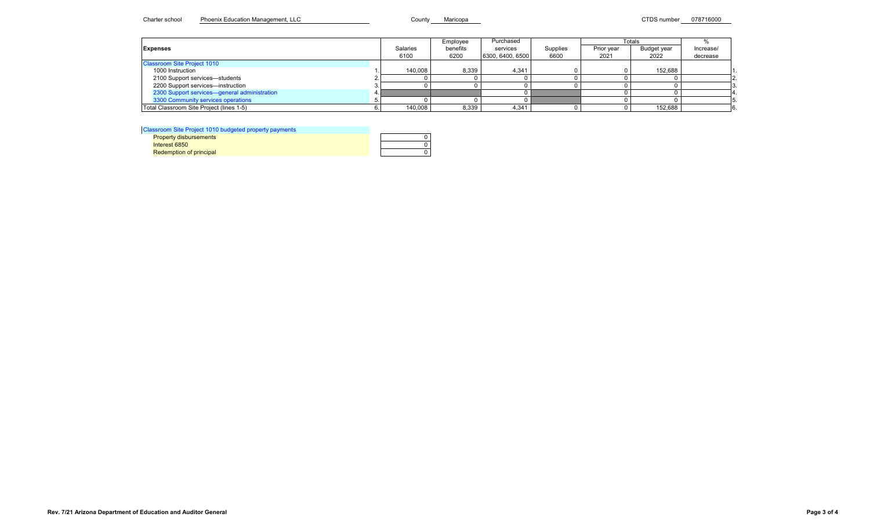<span id="page-4-0"></span>

|                                              |          | Employee | Purchased        |          | Totals     |             |           |
|----------------------------------------------|----------|----------|------------------|----------|------------|-------------|-----------|
| <b>Expenses</b>                              | Salaries | benefits | services         | Supplies | Prior year | Budget year | Increase/ |
|                                              | 6100     | 6200     | 6300, 6400, 6500 | 6600     | 2021       | 2022        | decrease  |
| <b>Classroom Site Project 1010</b>           |          |          |                  |          |            |             |           |
| 1000 Instruction                             | 140,008  | 8.339    | 4,341            |          |            | 152,688     |           |
| 2100 Support services-students               |          |          |                  |          |            |             |           |
| 2200 Support services-instruction            |          |          |                  |          |            |             |           |
| 2300 Support services-general administration |          |          |                  |          |            |             |           |
| 3300 Community services operations           |          |          |                  |          |            |             |           |
| Total Classroom Site Project (lines 1-5)     | 140,008  | 8,339    | 4,341            |          |            | 152,688     |           |

[Classroom Site Project 1010 budgeted property payments](#page-19-1)

**Redemption of principal** 

| $\frac{1}{2}$ of $\frac{1}{2}$ is a function of $\frac{1}{2}$ of $\frac{1}{2}$ of $\frac{1}{2}$ of $\frac{1}{2}$ of $\frac{1}{2}$ of $\frac{1}{2}$ of $\frac{1}{2}$ of $\frac{1}{2}$ of $\frac{1}{2}$ of $\frac{1}{2}$ of $\frac{1}{2}$ of $\frac{1}{2}$ of $\frac{1}{2}$ of $\frac{1}{2}$ of |  |
|-----------------------------------------------------------------------------------------------------------------------------------------------------------------------------------------------------------------------------------------------------------------------------------------------|--|
| <b>Property disbursements</b>                                                                                                                                                                                                                                                                 |  |
| Interest 6850                                                                                                                                                                                                                                                                                 |  |
| <b>Redemption of principal</b>                                                                                                                                                                                                                                                                |  |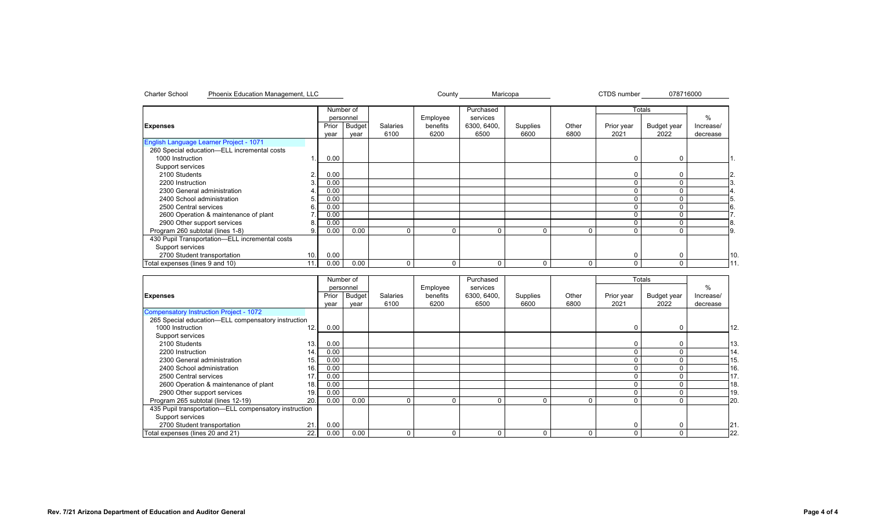|                                                |     |       | Number of     |          |          | Purchased   |          |             |            | Totals      |               |     |
|------------------------------------------------|-----|-------|---------------|----------|----------|-------------|----------|-------------|------------|-------------|---------------|-----|
|                                                |     |       | personnel     |          | Employee | services    |          |             |            |             | $\frac{0}{0}$ |     |
| <b>Expenses</b>                                |     | Prior | <b>Budget</b> | Salaries | benefits | 6300, 6400, | Supplies | Other       | Prior year | Budget year | Increase/     |     |
|                                                |     | year  | year          | 6100     | 6200     | 6500        | 6600     | 6800        | 2021       | 2022        | decrease      |     |
| English Language Learner Project - 1071        |     |       |               |          |          |             |          |             |            |             |               |     |
| 260 Special education-ELL incremental costs    |     |       |               |          |          |             |          |             |            |             |               |     |
| 1000 Instruction                               |     | 0.00  |               |          |          |             |          |             |            | $\Omega$    |               |     |
| Support services                               |     |       |               |          |          |             |          |             |            |             |               |     |
| 2100 Students                                  |     | 0.00  |               |          |          |             |          |             |            |             |               | 2.  |
| 2200 Instruction                               |     | 0.00  |               |          |          |             |          |             |            |             |               |     |
| 2300 General administration                    |     | 0.00  |               |          |          |             |          |             |            |             |               |     |
| 2400 School administration                     |     | 0.00  |               |          |          |             |          |             |            |             |               |     |
| 2500 Central services                          | ь.  | 0.00  |               |          |          |             |          |             |            |             |               | 6.  |
| 2600 Operation & maintenance of plant          |     | 0.00  |               |          |          |             |          |             |            |             |               |     |
| 2900 Other support services                    |     | 0.00  |               |          |          |             |          |             |            |             |               | I8. |
| Program 260 subtotal (lines 1-8)               |     | 0.00  | 0.00          |          | $\Omega$ | ∩           | $\Omega$ | $\Omega$    |            |             |               | 9.  |
| 430 Pupil Transportation-ELL incremental costs |     |       |               |          |          |             |          |             |            |             |               |     |
| Support services                               |     |       |               |          |          |             |          |             |            |             |               |     |
| 2700 Student transportation                    | 10. | 0.00  |               |          |          |             |          |             |            |             |               | 10  |
| Total expenses (lines 9 and 10)                | 11. | 0.00  | 0.00          |          | 0        |             | 0        | $\mathbf 0$ |            | 0           |               |     |

<span id="page-5-0"></span>Charter School Phoenix Education Management, LLC County Maricopa CTDS number 078716000

|                                                       |       | Number of |                 |          | Purchased   |          |       |            | <b>Totals</b> |           |     |
|-------------------------------------------------------|-------|-----------|-----------------|----------|-------------|----------|-------|------------|---------------|-----------|-----|
|                                                       |       | personnel |                 | Employee | services    |          |       |            |               | $\%$      |     |
| <b>Expenses</b>                                       | Prior | Budget    | <b>Salaries</b> | benefits | 6300, 6400, | Supplies | Other | Prior year | Budget year   | Increase/ |     |
|                                                       | year  | year      | 6100            | 6200     | 6500        | 6600     | 6800  | 2021       | 2022          | decrease  |     |
| Compensatory Instruction Project - 1072               |       |           |                 |          |             |          |       |            |               |           |     |
| 265 Special education-ELL compensatory instruction    |       |           |                 |          |             |          |       |            |               |           |     |
| 12.<br>1000 Instruction                               | 0.00  |           |                 |          |             |          |       | C          |               |           | 12. |
| Support services                                      |       |           |                 |          |             |          |       |            |               |           |     |
| 13.<br>2100 Students                                  | 0.00  |           |                 |          |             |          |       |            |               |           | 13. |
| 2200 Instruction<br>14.                               | 0.00  |           |                 |          |             |          |       |            |               |           | 14. |
| 2300 General administration<br>15.                    | 0.00  |           |                 |          |             |          |       |            |               |           | 15. |
| 2400 School administration<br>16.                     | 0.00  |           |                 |          |             |          |       |            |               |           | 16  |
| 2500 Central services<br>17                           | 0.00  |           |                 |          |             |          |       |            |               |           | 17. |
| 2600 Operation & maintenance of plant<br>18.          | 0.00  |           |                 |          |             |          |       |            |               |           | 18  |
| 2900 Other support services<br>19                     | 0.00  |           |                 |          |             |          |       |            |               |           | 19  |
| Program 265 subtotal (lines 12-19)<br>20.             | 0.00  | 0.00      |                 | 0        |             | $\Omega$ | 0     |            |               |           | 20. |
| 435 Pupil transportation-ELL compensatory instruction |       |           |                 |          |             |          |       |            |               |           |     |
| Support services                                      |       |           |                 |          |             |          |       |            |               |           |     |
| 21.<br>2700 Student transportation                    | 0.00  |           |                 |          |             |          |       | r          |               |           | 21  |
| 22.1<br>Total expenses (lines 20 and 21)              | 0.00  | 0.00      | $\Omega$        | 0        |             | $\Omega$ | 0     |            |               |           | 22. |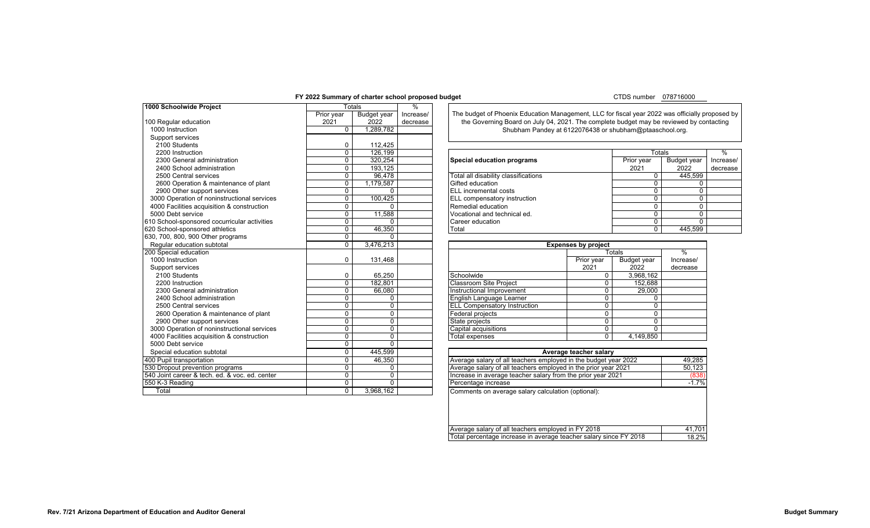## **FY 2022 Summary of charter school proposed budget**

## CTDS number 078716000

<span id="page-6-0"></span>

| 1000 Schoolwide Project                        |                    | Totals                     | $\frac{0}{6}$         |                                                                                             |                              |               |                    |        |
|------------------------------------------------|--------------------|----------------------------|-----------------------|---------------------------------------------------------------------------------------------|------------------------------|---------------|--------------------|--------|
|                                                |                    |                            |                       | The budget of Phoenix Education Management, LLC for fiscal year 2022 was officially propose |                              |               |                    |        |
|                                                | Prior year<br>2021 | <b>Budget year</b><br>2022 | Increase/<br>decrease | the Governing Board on July 04, 2021. The complete budget may be reviewed by contacting     |                              |               |                    |        |
| 100 Regular education<br>1000 Instruction      | $\Omega$           | 1,289,782                  |                       |                                                                                             |                              |               |                    |        |
| Support services                               |                    |                            |                       | Shubham Pandey at 6122076438 or shubham@ptaaschool.org.                                     |                              |               |                    |        |
| 2100 Students                                  |                    | 112.425                    |                       |                                                                                             |                              |               |                    |        |
|                                                | $\mathbf 0$        | 126.199                    |                       |                                                                                             |                              |               |                    |        |
| 2200 Instruction                               | $\mathbf 0$        |                            |                       |                                                                                             |                              | Totals        |                    | %      |
| 2300 General administration                    | $\mathbf{0}$       | 320,254                    |                       | <b>Special education programs</b>                                                           |                              | Prior year    | <b>Budget year</b> | Increa |
| 2400 School administration                     | $\mathbf{0}$       | 193,125                    |                       |                                                                                             |                              | 2021          | 2022               | decre  |
| 2500 Central services                          | $\mathbf 0$        | 96,478                     |                       | Total all disability classifications                                                        |                              | $\Omega$      | 445.599            |        |
| 2600 Operation & maintenance of plant          | $\mathbf 0$        | 1,179,587                  |                       | Gifted education                                                                            |                              | $\Omega$      | 0                  |        |
| 2900 Other support services                    | $\mathbf 0$        | $\Omega$                   |                       | <b>ELL</b> incremental costs                                                                |                              | $\Omega$      | $\Omega$           |        |
| 3000 Operation of noninstructional services    | $\mathbf 0$        | 100,425                    |                       | <b>ELL</b> compensatory instruction                                                         |                              | $\Omega$      | $\Omega$           |        |
| 4000 Facilities acquisition & construction     | $\mathbf 0$        | 0                          |                       | Remedial education                                                                          |                              | $\Omega$      | 0                  |        |
| 5000 Debt service                              | $\mathbf{0}$       | 11,588                     |                       | Vocational and technical ed.                                                                |                              | $\Omega$      | 0<br>$\Omega$      |        |
| 610 School-sponsored cocurricular activities   | $\mathbf 0$        | U                          |                       |                                                                                             | Career education<br>$\Omega$ |               |                    |        |
| 620 School-sponsored athletics                 | $\mathbf{0}$       | 46,350                     |                       | Total<br>$\overline{0}$                                                                     |                              |               |                    |        |
| 630, 700, 800, 900 Other programs              | $\mathbf 0$        | O.                         |                       |                                                                                             |                              |               |                    |        |
| Regular education subtotal                     | $\mathbf 0$        | 3,476,213                  |                       |                                                                                             | <b>Expenses by project</b>   |               |                    |        |
| 200 Special education                          |                    |                            |                       |                                                                                             |                              | <b>Totals</b> | $\%$               |        |
| 1000 Instruction                               | 0                  | 131,468                    |                       |                                                                                             | Prior year                   | Budget year   | Increase/          |        |
| Support services                               |                    |                            |                       |                                                                                             | 2021                         | 2022          | decrease           |        |
| 2100 Students                                  | 0                  | 65,250                     |                       | Schoolwide                                                                                  | $\mathbf 0$                  | 3,968,162     |                    |        |
| 2200 Instruction                               | $\overline{0}$     | 182.801                    |                       | <b>Classroom Site Project</b>                                                               | $\overline{0}$               | 152.688       |                    |        |
| 2300 General administration                    | $\mathbf 0$        | 66.080                     |                       | Instructional Improvement                                                                   | $\mathbf 0$                  | 29.000        |                    |        |
| 2400 School administration                     | $\mathbf{0}$       | $\Omega$                   |                       | English Language Learner                                                                    | $\Omega$                     | $\Omega$      |                    |        |
| 2500 Central services                          | $\mathbf{0}$       | 0                          |                       | <b>ELL Compensatory Instruction</b>                                                         | $\mathbf 0$                  | $\Omega$      |                    |        |
| 2600 Operation & maintenance of plant          | $\mathbf{0}$       | 0                          |                       | Federal projects                                                                            | $\mathbf 0$                  | $\Omega$      |                    |        |
| 2900 Other support services                    | $\mathbf 0$        | $\mathbf 0$                |                       | State projects                                                                              | $\Omega$                     | $\Omega$      |                    |        |
| 3000 Operation of noninstructional services    | $\mathbf 0$        | 0                          |                       | Capital acquisitions                                                                        | $\mathbf 0$                  | $\Omega$      |                    |        |
| 4000 Facilities acquisition & construction     | $\mathbf 0$        | $\Omega$                   |                       | <b>Total expenses</b>                                                                       | $\mathbf{0}$                 | 4,149,850     |                    |        |
| 5000 Debt service                              | $\mathbf 0$        | $\Omega$                   |                       |                                                                                             |                              |               |                    |        |
| Special education subtotal                     | $\mathbf{0}$       | 445,599                    |                       |                                                                                             | Average teacher salary       |               |                    |        |
| 400 Pupil transportation                       | $\overline{0}$     | 46,350                     |                       | Average salary of all teachers employed in the budget year 2022                             |                              |               | 49.285             |        |
| 530 Dropout prevention programs                | $\mathbf 0$        | 0                          |                       | Average salary of all teachers employed in the prior year 2021                              |                              |               | 50,123             |        |
| 540 Joint career & tech. ed. & voc. ed. center | $\mathbf 0$        | 0                          |                       | Increase in average teacher salary from the prior year 2021<br>(838)                        |                              |               |                    |        |
| 550 K 3 Reading                                | $\mathbf 0$        | $\Omega$                   |                       | Percentage increase<br>$-1.7%$                                                              |                              |               |                    |        |
| Total                                          | $\mathbf 0$        | 3,968,162                  |                       | Comments on average salary calculation (optional):                                          |                              |               |                    |        |
|                                                |                    |                            |                       |                                                                                             |                              |               |                    |        |

| 2200 Instruction                           | 126.199   |                                      | Totals     |             |           |
|--------------------------------------------|-----------|--------------------------------------|------------|-------------|-----------|
| 2300 General administration                | 320.254   | Special education programs           | Prior year | Budget year | Increase/ |
| 2400 School administration                 | 193.125   |                                      | 2021       | 2022        | decrease  |
| 2500 Central services                      | 96.478    | Total all disability classifications |            | 445.599     |           |
| 2600 Operation & maintenance of plant      | 1.179.587 | Gifted education                     |            |             |           |
| 2900 Other support services                |           | <b>IELL</b> incremental costs        |            |             |           |
| 000 Operation of noninstructional services | 100.425   | <b>ELL</b> compensatory instruction  |            |             |           |
| 000 Facilities acquisition & construction  |           | Remedial education                   |            |             |           |
| 00 Debt service                            | 11.588    | Vocational and technical ed.         |            |             |           |
| School-sponsored cocurricular activities   |           | Career education                     |            |             |           |
| School-sponsored athletics                 | 46.350    | Total                                |            | 445.599     |           |

|                                     | <b>Expenses by project</b> |                    |          |  |  |  |  |  |
|-------------------------------------|----------------------------|--------------------|----------|--|--|--|--|--|
|                                     |                            | Totals             | $\%$     |  |  |  |  |  |
|                                     | Prior year                 | <b>Budget year</b> |          |  |  |  |  |  |
|                                     | 2021                       | 2022               | decrease |  |  |  |  |  |
| Schoolwide                          | 0                          | 3,968,162          |          |  |  |  |  |  |
| <b>Classroom Site Project</b>       | 0                          | 152,688            |          |  |  |  |  |  |
| Instructional Improvement           | 0                          | 29,000             |          |  |  |  |  |  |
| English Language Learner            | 0                          | 0                  |          |  |  |  |  |  |
| <b>ELL Compensatory Instruction</b> | 0                          | 0                  |          |  |  |  |  |  |
| Federal projects                    | 0                          | 0                  |          |  |  |  |  |  |
| State projects                      | 0                          | 0                  |          |  |  |  |  |  |
| Capital acquisitions                | 0                          | 0                  |          |  |  |  |  |  |
| Total expenses                      | 0                          | 4.149.850          |          |  |  |  |  |  |

| Average teacher salary                                            |         |  |  |  |  |
|-------------------------------------------------------------------|---------|--|--|--|--|
| Average salary of all teachers employed in the budget year 2022   | 49,285  |  |  |  |  |
| Average salary of all teachers employed in the prior year 2021    | 50,123  |  |  |  |  |
| Increase in average teacher salary from the prior year 2021       | (838)   |  |  |  |  |
| Percentage increase                                               | $-1.7%$ |  |  |  |  |
| Comments on average salary calculation (optional):                |         |  |  |  |  |
|                                                                   |         |  |  |  |  |
|                                                                   |         |  |  |  |  |
|                                                                   |         |  |  |  |  |
| Average salary of all teachers employed in FY 2018                | 41,701  |  |  |  |  |
| Total percentage increase in average teacher salary since FY 2018 | 18.2%   |  |  |  |  |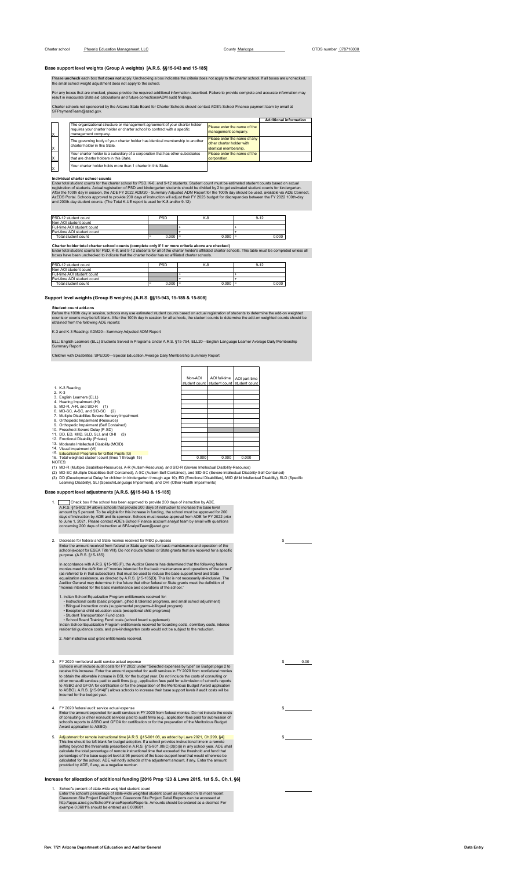Please **uncheck** each box that **does not** apply. Unchecking a box indicates the criteria does not apply to the charter school. If all boxes are unchecked,<br>the small school weight adjustment does not apply to the school.

For any boxes that are checked, please provide the required additional information described. Failure to provide complete and accurate information may<br>result in inaccurate State aid calculations and future corrections/ADM

Charter schools not sponsored by the Arizona State Board for Charter Schools should contact ADE's School Finance payment team by email at SFPaymentTeam@azed.gov.

|   |                                                                                                                                                                                                                                         | <b>Additional information</b> |
|---|-----------------------------------------------------------------------------------------------------------------------------------------------------------------------------------------------------------------------------------------|-------------------------------|
| x | The organizational structure or management agreement of your charter holder<br>Please enter the name of the<br>requires your charter holder or charter school to contract with a specific<br>management company.<br>management company. |                               |
| Χ | Please enter the name of any<br>The governing body of your charter holder has identical membership to another<br>other charter holder with<br>charter holder in this State.<br>identical membership.                                    |                               |
| X | Please enter the name of the<br>Your charter holder is a subsidiary of a corporation that has other subsidiaries<br>that are charter holders in this State.<br>corporation.                                                             |                               |
| X | Your charter holder holds more than 1 charter in this State.                                                                                                                                                                            |                               |

<span id="page-7-0"></span>Individual charter school counts<br>Enter total student counts for the charter school for PSD, K-8, and 9-12 students. Student count must be estimated student counts based on actual<br>registration of students. Actual registrati

| PSD-12 student count        | <b>PSD</b> | K-8       | 9-12  |
|-----------------------------|------------|-----------|-------|
| Non-AOI student count       |            |           |       |
| Full-time AOI student count |            |           |       |
| Part-time AOI student count |            |           |       |
| Total student count         | 0.000      | $0.000 =$ | 0.000 |

<span id="page-7-1"></span>Charter holder total charter school counts (complete only if 1 or more criteria above are checked)<br>Enter total student counts for PSD, K-8, and 9-12 students for all of the charter holder's affiliated charter schools. This

| PSD-12 student count        | <b>PSD</b> | K-8   | $9 - 12$ |
|-----------------------------|------------|-------|----------|
| Non-AOI student count       |            |       |          |
| Full-time AOI student count |            |       |          |
| Part-time AOI student count |            |       |          |
| Total student count         | 0.000<br>≕ | 0.000 | 0.000    |

**Support level weights (Group B weights) [A.R.S. §§15-943, 15-185 & 15-808]**

Student count add-ons<br>Before the 100th day in session, schools may use estimated student counts based on actual registration of students to determine the add-on weighted<br>counts or counts may be left blank. After the 100th

 $\Gamma$ 

 $\overline{\mathsf{T}}$ 

 $\overline{\phantom{a}}$ 

 $\overline{\phantom{0}}$ 

K-3 and K-3 Reading: ADM20—Summary Adjusted ADM Report

ELL: English Learners (ELL) Students Served in Programs Under A.R.S. §15-754, ELL20—English Language Learner Average Daily Membership Summary Report

Children with Disabilities: SPED20—Special Education Average Daily Membership Summary Report

|                                                                                                                       | Non-AOI<br>student count | AOI full-time<br>student count | AOI part-time<br>student count |
|-----------------------------------------------------------------------------------------------------------------------|--------------------------|--------------------------------|--------------------------------|
| 1. K-3 Reading                                                                                                        |                          |                                |                                |
| $2. K-3$                                                                                                              |                          |                                |                                |
| 3. English Learners (ELL)                                                                                             |                          |                                |                                |
| 4. Hearing Impairment (HI)                                                                                            |                          |                                |                                |
| 5. MD-R, A-R, and SID-R (1)                                                                                           |                          |                                |                                |
| 6. MD-SC, A-SC, and SID-SC (2)                                                                                        |                          |                                |                                |
| 7. Multiple Disabilities Severe Sensory Impairment                                                                    |                          |                                |                                |
| 8. Orthopedic Impairment (Resource)                                                                                   |                          |                                |                                |
| 9. Orthopedic Impairment (Self Contained)                                                                             |                          |                                |                                |
| 10. Preschool-Severe Delay (P-SD)                                                                                     |                          |                                |                                |
| 11. DD, ED, MIID, SLD, SLI, and OHI<br>(3)                                                                            |                          |                                |                                |
| 12. Emotional Disability (Private)                                                                                    |                          |                                |                                |
| 13. Moderate Intellectual Disability (MOID)                                                                           |                          |                                |                                |
| 14. Visual Impairment (VI)                                                                                            |                          |                                |                                |
| 15. Educational Programs for Gifted Pupils (G)                                                                        |                          |                                |                                |
| 16. Total weighted student count (lines 1 through 15)                                                                 | 0.000                    | 0.000                          | 0.000                          |
| NOTES:                                                                                                                |                          |                                |                                |
| (1) MD-R (Multiple Disabilities-Resource), A-R (Autism-Resource), and SID-R (Severe Intellectual Disability-Resource) |                          |                                |                                |

(1) MD-R (Multiple Disabilities-Resource), A-R (Autism-Resource), and SID-R (Severe Intellectual Disability-Resource)<br>(2) MD-SC (Multiple Disabilities-Self-Contained), A-SC (Autism-Self-Contained), and SID-SC (Severe Intel

## **Base support level adjustments [A.R.S. §§15-943 & 15-185]**

1. Check box if the school has been approved to provide 200 days of instruction by ADE.<br>A.R.S. §15-902.04 allows schools that provide 200 days of instruction to increase the base level<br>amount by 5 percent. To be eligible f

2. Decrease for federal and State monies received for M&O purposes<br>Enter the amount received from federal or State agencies for basic maintenance and operation of the<br>school (except for ESEA Title VIII). Do not include fed

In accordance with A.R.S., §15-185(P), the Auditor General has determined that the following federal<br>monies meet the definition of "monies intended for the basic maintenance and operations of the school"<br>(as referred to in

- 
- 
- 

1. Indian School Equalization Program entitlements received for:<br>
• Instructional costs (basic program, gifted & talented programs, and small school adjustment)<br>
• Bilingual instruction costs (supplemental programs–bilingu

2. Administrative cost grant entitle

3. FY 2020 nonfederal andil service actual expenses by the "Selected expenses by type" on Budget page 2 to<br>Schools must include audit costs for FY 2022 under "Selected expenses by type" on Budget page 2 to<br>receive this inc

4. FY 2020 federal audit service actual expense<br>Enter the amount expended for audit services in FY 2020 from federal monies. Do not include the costs<br>of consulting or other nonaudit services paid to audit firms (e.g., appl

5. Adjustment for remote instructional time  $[A, R, S, \frac{5}{8}15901.08$ , as added by Laws 2021, Ch.299, §4]<br>This line should be left blank for budget adoption. If a school provides instructional time in a remote<br>setting beyon

**Increase for allocation of additional funding [2016 Prop 123 & Laws 2015, 1st S.S., Ch.1, §6]**

<span id="page-7-2"></span>1. School's percent of state-wide weighted student count as expected on its most recent<br>Enter the school's percentage of state-wide weighted student count as reported on its most recent<br>Classroom Site Project Detail Report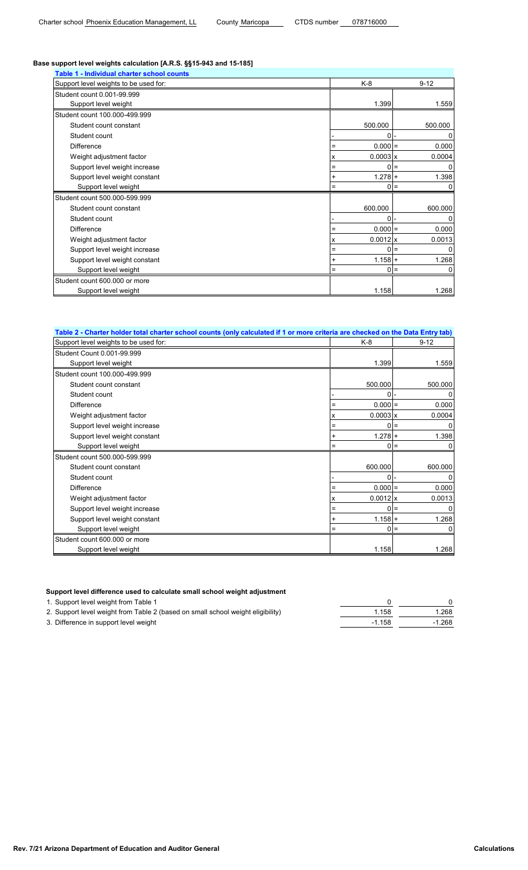## **Base support level weights calculation [A.R.S. §§15-943 and 15-185]**

| Table 1 - Individual charter school counts |     |                 |                        |
|--------------------------------------------|-----|-----------------|------------------------|
| Support level weights to be used for:      |     | K-8             | $9 - 12$               |
| Student count 0.001-99.999                 |     |                 |                        |
| Support level weight                       |     | 1.399           | 1.559                  |
| Student count 100.000-499.999              |     |                 |                        |
| Student count constant                     |     | 500.000         | 500.000                |
| Student count                              |     | 0               | 0                      |
| <b>Difference</b>                          | Ξ   | $0.000 =$       | 0.000                  |
| Weight adjustment factor                   | x   | $0.0003 \times$ | 0.0004                 |
| Support level weight increase              | Ξ   |                 | $0 =$<br>0             |
| Support level weight constant              | +   | $1.278 +$       | 1.398                  |
| Support level weight                       | $=$ | 0               | 0<br>l=                |
| Student count 500.000-599.999              |     |                 |                        |
| Student count constant                     |     | 600.000         | 600.000                |
| Student count                              |     | 0               | 0                      |
| <b>Difference</b>                          | $=$ | $0.000 =$       | 0.000                  |
| Weight adjustment factor                   | x   | $0.0012$ x      | 0.0013                 |
| Support level weight increase              | $=$ | 0               | 0<br>$\qquad \qquad =$ |
| Support level weight constant              |     | $1.158 +$       | 1.268                  |
| Support level weight                       | Ξ   | 0               | 0<br>l=                |
| Student count 600,000 or more              |     |                 |                        |
| Support level weight                       |     | 1.158           | 1.268                  |

| Table 2 - Charter holder total charter school counts (only calculated if 1 or more criteria are checked on the Data Entry tab) |                 |            |
|--------------------------------------------------------------------------------------------------------------------------------|-----------------|------------|
| Support level weights to be used for:                                                                                          | K-8             | $9 - 12$   |
| Student Count 0.001-99.999                                                                                                     |                 |            |
| Support level weight                                                                                                           | 1.399           | 1.559      |
| Student count 100.000-499.999                                                                                                  |                 |            |
| Student count constant                                                                                                         | 500.000         | 500.000    |
| Student count                                                                                                                  | 0               | 0          |
| <b>Difference</b>                                                                                                              | $0.000 =$       | 0.000      |
| Weight adjustment factor                                                                                                       | $0.0003$ x<br>x | 0.0004     |
| Support level weight increase                                                                                                  | =               | $0 =$<br>0 |
| Support level weight constant                                                                                                  | $1.278 +$<br>+  | 1.398      |
| Support level weight                                                                                                           | 0               | $=$        |
| Student count 500.000-599.999                                                                                                  |                 |            |
| Student count constant                                                                                                         | 600.000         | 600.000    |
| Student count                                                                                                                  | O               | U          |
| <b>Difference</b>                                                                                                              | $0.000 =$       | 0.000      |
| Weight adjustment factor                                                                                                       | $0.0012$ x<br>x | 0.0013     |
| Support level weight increase                                                                                                  | O.<br>=         | O<br>$=$   |
| Support level weight constant                                                                                                  | $1.158 +$       | 1.268      |
| Support level weight                                                                                                           | Ξ               | $0 =$<br>0 |
| Student count 600,000 or more                                                                                                  |                 |            |
| Support level weight                                                                                                           | 1.158           | 1.268      |

## **Support level difference used to calculate small school weight adjustment**

1. Support level weight from Table 1 0 0

| 2. Support level weight from Table 2 (based on small school weight eligibility) | 1.158    | l.268    |
|---------------------------------------------------------------------------------|----------|----------|
| 3. Difference in support level weight                                           | $-1.158$ | $-1.268$ |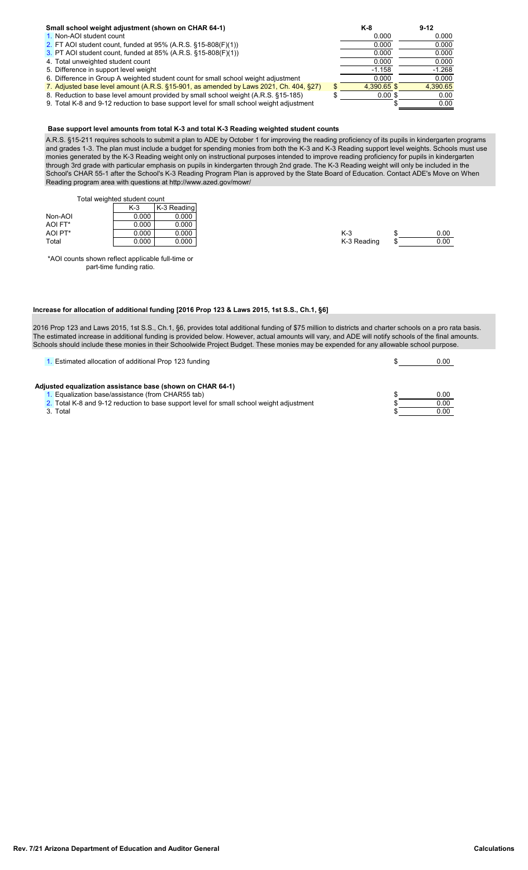# **Small school weight adjustment (shown on CHAR 64-1) K-8 K-8 9-12**<br> **1.** Non-AOI student count **1.** Non-AOI student count

- 
- 
- [3.](#page-7-0) PT AOI student count, funded at 85%  $(A.R.S. §15-808(F)(1))$  0.000
- 
- 5. Difference in support level weight  $\overline{6}$ . Difference in Support level weight  $\overline{1.158}$   $\overline{1.158}$   $\overline{1.158}$   $\overline{1.158}$   $\overline{1.158}$   $\overline{1.158}$   $\overline{1.158}$   $\overline{1.158}$   $\overline{1.158}$   $\overline{1.158}$   $\overline{1.1$
- 6. Difference in Group A weighted student count for small school weight adjustment  $\overline{2.000}$  0.000 0.000 0.000 0.000 0.000 0.000 0.000 0.000 0.000 0.000 0.000 0.000 0.000 0.000 0.000 0.000 0.000 0.000 0.000 0.000 0.000
- 7. Adjusted base level amount (A.R.S. §15-901, as amended by Laws 2021, Ch. 404, §27)  $\frac{1}{10}$   $\frac{4,390.65}{1000}$  \$  $\frac{4,390.65}{1000}$  \$  $\frac{4,390.65}{1000}$  \$  $\frac{4,390.65}{1000}$  \$
- 8. Reduction to base level amount provided by small school weight (A.R.S. §15-185)  $\overline{\phantom{0}}\$   $\overline{\phantom{0}}\$  0.00 \$ 0.00<br>9. Total K-8 and 9-12 reduction to base support level for small school weight adjustment  $\overline{\phantom{0}}\$ 9. Total K-8 and 9-12 reduction to base support level for small school weight adjustment

# [1.](#page-7-0) Non-AOI student count 0.000 0.000 0.000 0.000 0.000 0.000 0.000 0.000 0.000 0.000 0.000 0.000 0.000 0.000 0.000 0.000 0.000 0.000 0.000 0.000 0.000 0.000 0.000 0.000 0.000 0.000 0.000 0.000 0.000 0.000 0.000 0.000 0.000 [2.](#page-7-0) FT AOI student count, funded at 95% (A.R.S. §15-808(F)(1))  $\overline{3.}$  PT AOI student count. funded at 85% (A.R.S. §15-808(F)(1))  $\overline{0.000}$   $\overline{0.000}$   $\overline{0.000}$   $\overline{0.000}$   $\overline{0.000}$ 4. Total unweighted student count 0.000 0.000 0.000 0.000 0.000 0.000 0.000 0.000 0.000 0.000 0.000 0.000 0.000 0.000 0.000 0.000 0.000 0.000 0.000 0.000 0.000 0.000 0.000 0.000 0.000 0.000 0.000 0.000 0.000 0.000 0.000 0.

## **Base support level amounts from total K-3 and total K-3 Reading weighted student counts**

A.R.S. §15-211 requires schools to submit a plan to ADE by October 1 for improving the reading proficiency of its pupils in kindergarten programs and grades 1-3. The plan must include a budget for spending monies from both the K-3 and K-3 Reading support level weights. Schools must use monies generated by the K-3 Reading weight only on instructional purposes intended to improve reading proficiency for pupils in kindergarten through 3rd grade with particular emphasis on pupils in kindergarten through 2nd grade. The K-3 Reading weight will only be included in the School's CHAR 55-1 after the School's K-3 Reading Program Plan is approved by the State Board of Education. Contact ADE's Move on When Reading program area with questions at http://www.azed.gov/mowr/

<span id="page-9-0"></span>Total weighted student count

|         | $K-3$ | IK-3 Reading |             |      |
|---------|-------|--------------|-------------|------|
| Non-AOI | 0.000 | 0.000        |             |      |
| AOI FT* | 0.000 | 0.000        |             |      |
| AOI PT* | 0.000 | 0.000        | $K-3$       | 0.00 |
| Total   | 0.000 | 0.000        | K-3 Reading | 0.00 |
|         |       |              |             |      |

\*AOI counts shown reflect applicable full-time or part-time funding ratio.

## **Increase for allocation of additional funding [2016 Prop 123 & Laws 2015, 1st S.S., Ch.1, §6]**

2016 Prop 123 and Laws 2015, 1st S.S., Ch.1, §6, provides total additional funding of \$75 million to districts and charter schools on a pro rata basis. The estimated increase in additional funding is provided below. However, actual amounts will vary, and ADE will notify schools of the final amounts. Schools should include these monies in their Schoolwide Project Budget. These monies may be expended for any allowable school purpose.

| . Estimated allocation of additional Prop 123 funding                                    | 0.00 |
|------------------------------------------------------------------------------------------|------|
|                                                                                          |      |
| Adjusted equalization assistance base (shown on CHAR 64-1)                               |      |
| Equalization base/assistance (from CHAR55 tab)                                           | 0.00 |
| 2. Total K-8 and 9-12 reduction to base support level for small school weight adjustment | 0.00 |
| . Total                                                                                  | 0.00 |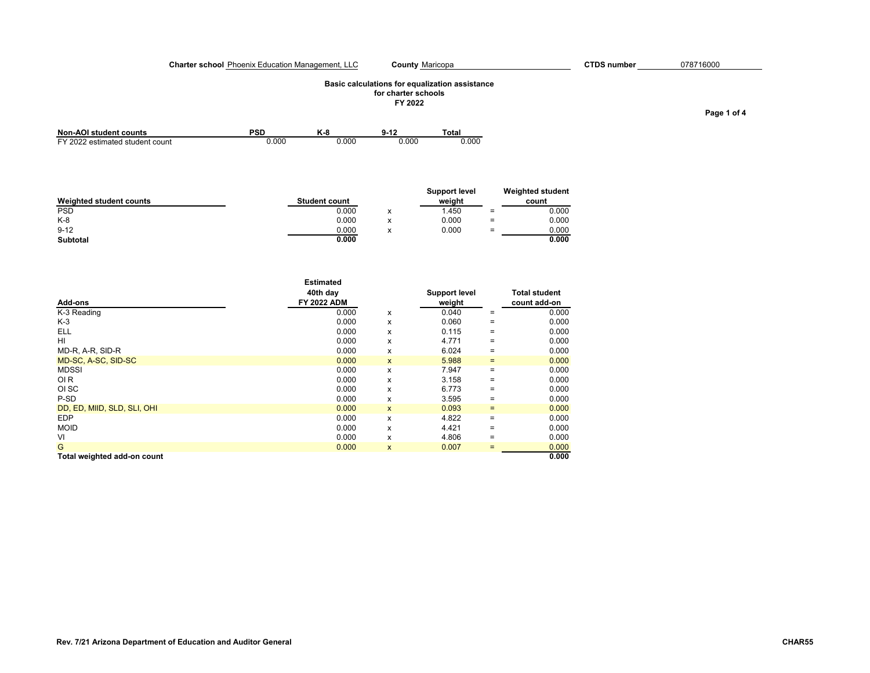#### **Charter school** Phoenix Education Management, LLC **County** Maricopa **CTDS number**

## **Basic calculations for equalization assistance for charter schools**

County Maricopa **CTDS** number 078716000

**FY 2022**

| <b>Non-AOI student counts</b>   | PSD   | и<br>n - c |       | ™otaı |
|---------------------------------|-------|------------|-------|-------|
| FY 2022 estimated student count | 0.00C | 0.000      | 0.000 | .000  |

|                         |                      |                               | Support level |          | <b>Weighted student</b> |
|-------------------------|----------------------|-------------------------------|---------------|----------|-------------------------|
| Weighted student counts | <b>Student count</b> |                               | weight        |          | count                   |
| <b>PSD</b>              | 0.000                | $\overline{\phantom{a}}$<br>^ | 1.450         | $\equiv$ | 0.000                   |
| $K-8$                   | 0.000                |                               | 0.000         | $=$      | 0.000                   |
| $9 - 12$                | 0.000                | $\checkmark$                  | 0.000         | $=$      | 0.000                   |
| Subtotal                | 0.000                |                               |               |          | 0.000                   |

|                             | <b>Estimated</b>   |              |               |     |                      |
|-----------------------------|--------------------|--------------|---------------|-----|----------------------|
|                             | 40th day           |              | Support level |     | <b>Total student</b> |
| Add-ons                     | <b>FY 2022 ADM</b> |              | weight        |     | count add-on         |
| K-3 Reading                 | 0.000              | x            | 0.040         | $=$ | 0.000                |
| K-3                         | 0.000              | x            | 0.060         | $=$ | 0.000                |
| <b>ELL</b>                  | 0.000              | x            | 0.115         | $=$ | 0.000                |
| HI                          | 0.000              | x            | 4.771         | $=$ | 0.000                |
| MD-R, A-R, SID-R            | 0.000              | x            | 6.024         | $=$ | 0.000                |
| MD-SC, A-SC, SID-SC         | 0.000              | $\mathsf{x}$ | 5.988         | $=$ | 0.000                |
| <b>MDSSI</b>                | 0.000              | x            | 7.947         | $=$ | 0.000                |
| OI <sub>R</sub>             | 0.000              | x            | 3.158         | $=$ | 0.000                |
| OI SC                       | 0.000              | x            | 6.773         | $=$ | 0.000                |
| P-SD                        | 0.000              | x            | 3.595         | $=$ | 0.000                |
| DD, ED, MIID, SLD, SLI, OHI | 0.000              | $\mathsf{x}$ | 0.093         | $=$ | 0.000                |
| <b>EDP</b>                  | 0.000              | x            | 4.822         | $=$ | 0.000                |
| <b>MOID</b>                 | 0.000              | x            | 4.421         | $=$ | 0.000                |
| VI                          | 0.000              | x            | 4.806         | $=$ | 0.000                |
| G                           | 0.000              | X            | 0.007         | $=$ | 0.000                |
| Total weighted add-on count |                    |              |               |     | 0.000                |

**Page 1 of 4**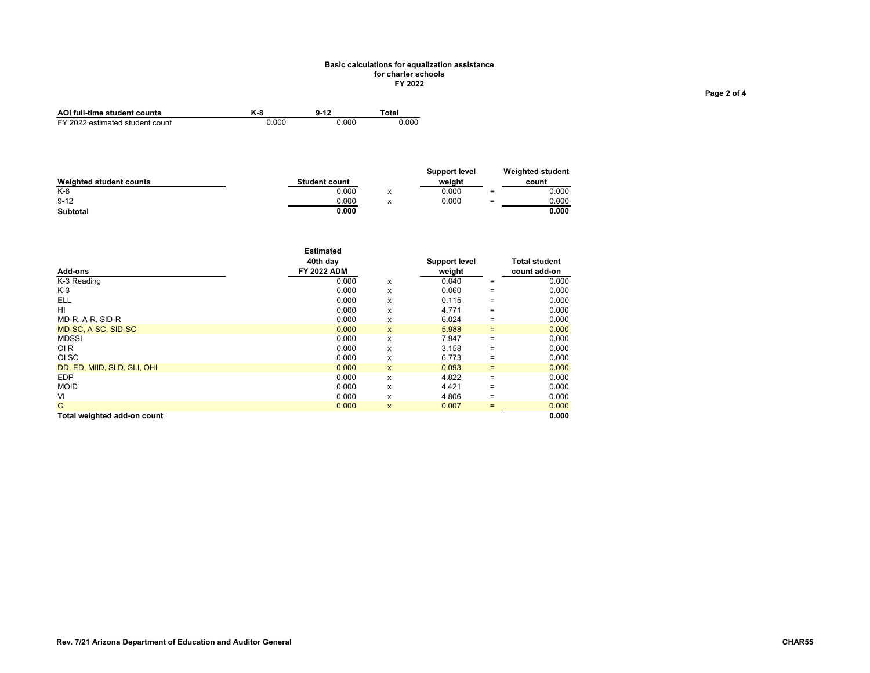#### **Basic calculations for equalization assistance for charter schools FY 2022**

| AOI full-time student counts    | K-8   | $9 - 12$ | `otal |
|---------------------------------|-------|----------|-------|
| FY 2022 estimated student count | 0.000 | 0.000    | 0.000 |

|                         |                      |                                                  | Support level |     | <b>Weighted student</b> |
|-------------------------|----------------------|--------------------------------------------------|---------------|-----|-------------------------|
| Weighted student counts | <b>Student count</b> |                                                  | weiaht        |     | count                   |
| $K-8$                   | 0.000                | $\ddot{\phantom{0}}$<br>$\overline{\phantom{a}}$ | 0.000         | $=$ | 0.000                   |
| $9 - 12$                | 0.000                | ٠.                                               | 0.000         | $=$ | 0.000                   |
| Subtotal                | 0.000                |                                                  |               |     | 0.000                   |

| Add-ons                     | <b>Estimated</b><br>40th day<br><b>FY 2022 ADM</b> |              | <b>Support level</b><br>weight |     | <b>Total student</b><br>count add-on |
|-----------------------------|----------------------------------------------------|--------------|--------------------------------|-----|--------------------------------------|
| K-3 Reading                 | 0.000                                              | x            | 0.040                          | $=$ | 0.000                                |
| $K-3$                       | 0.000                                              | x            | 0.060                          | $=$ | 0.000                                |
| <b>ELL</b>                  | 0.000                                              | x            | 0.115                          | $=$ | 0.000                                |
| HI                          | 0.000                                              | x            | 4.771                          | $=$ | 0.000                                |
| MD-R, A-R, SID-R            | 0.000                                              | x            | 6.024                          | $=$ | 0.000                                |
| MD-SC, A-SC, SID-SC         | 0.000                                              | X            | 5.988                          | $=$ | 0.000                                |
| <b>MDSSI</b>                | 0.000                                              | x            | 7.947                          | $=$ | 0.000                                |
| OI <sub>R</sub>             | 0.000                                              | x            | 3.158                          | $=$ | 0.000                                |
| OI SC                       | 0.000                                              | x            | 6.773                          | $=$ | 0.000                                |
| DD, ED, MIID, SLD, SLI, OHI | 0.000                                              | $\mathsf{x}$ | 0.093                          | $=$ | 0.000                                |
| <b>EDP</b>                  | 0.000                                              | x            | 4.822                          | $=$ | 0.000                                |
| <b>MOID</b>                 | 0.000                                              | x            | 4.421                          | $=$ | 0.000                                |
| VI                          | 0.000                                              | x            | 4.806                          | $=$ | 0.000                                |
| G                           | 0.000                                              | $\mathsf{x}$ | 0.007                          | $=$ | 0.000                                |
| Total weighted add-on count |                                                    |              |                                |     | 0.000                                |

**Page 2 of 4**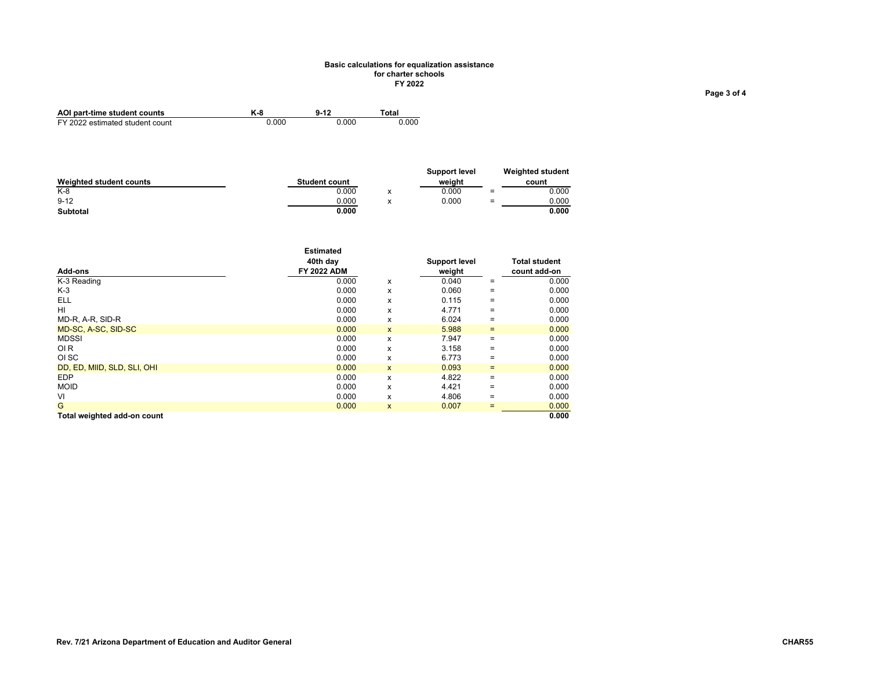#### **Basic calculations for equalization assistance for charter schools FY 2022**

| AOI part-time student counts    | K-8   | $9 - 12$ | ™otal |
|---------------------------------|-------|----------|-------|
| FY 2022 estimated student count | 0.000 | 0.000    | 0.000 |

|                         |                      |                                       | <b>Support level</b> |     | <b>Weighted student</b> |
|-------------------------|----------------------|---------------------------------------|----------------------|-----|-------------------------|
| Weighted student counts | <b>Student count</b> |                                       | weiaht               |     | count                   |
| $K-8$                   | 0.000                | $\overline{\phantom{a}}$<br>́         | 0.000                | $=$ | 0.000                   |
| $9 - 12$                | 0.000                | $\overline{\phantom{a}}$<br>$\lambda$ | 0.000                | $=$ | 0.000                   |
| Subtotal                | 0.000                |                                       |                      |     | 0.000                   |

| Add-ons                     | <b>Estimated</b><br>40th day<br><b>FY 2022 ADM</b> |              | Support level<br>weight |     | <b>Total student</b><br>count add-on |
|-----------------------------|----------------------------------------------------|--------------|-------------------------|-----|--------------------------------------|
| K-3 Reading                 | 0.000                                              | x            | 0.040                   | $=$ | 0.000                                |
| $K-3$                       | 0.000                                              | x            | 0.060                   | $=$ | 0.000                                |
| ELL                         | 0.000                                              | x            | 0.115                   | $=$ | 0.000                                |
| HI                          | 0.000                                              | x            | 4.771                   | $=$ | 0.000                                |
| MD-R, A-R, SID-R            | 0.000                                              | x            | 6.024                   | $=$ | 0.000                                |
| MD-SC, A-SC, SID-SC         | 0.000                                              | X            | 5.988                   | $=$ | 0.000                                |
| <b>MDSSI</b>                | 0.000                                              | x            | 7.947                   | $=$ | 0.000                                |
| <b>OIR</b>                  | 0.000                                              | x            | 3.158                   | $=$ | 0.000                                |
| OI SC                       | 0.000                                              | x            | 6.773                   | $=$ | 0.000                                |
| DD, ED, MIID, SLD, SLI, OHI | 0.000                                              | $\mathsf{x}$ | 0.093                   | $=$ | 0.000                                |
| <b>EDP</b>                  | 0.000                                              | x            | 4.822                   | $=$ | 0.000                                |
| <b>MOID</b>                 | 0.000                                              | x            | 4.421                   | $=$ | 0.000                                |
| VI                          | 0.000                                              | x            | 4.806                   | $=$ | 0.000                                |
| G                           | 0.000                                              | X            | 0.007                   | $=$ | 0.000                                |
| Total weighted add-on count |                                                    |              |                         |     | 0.000                                |

**Page 3 of 4**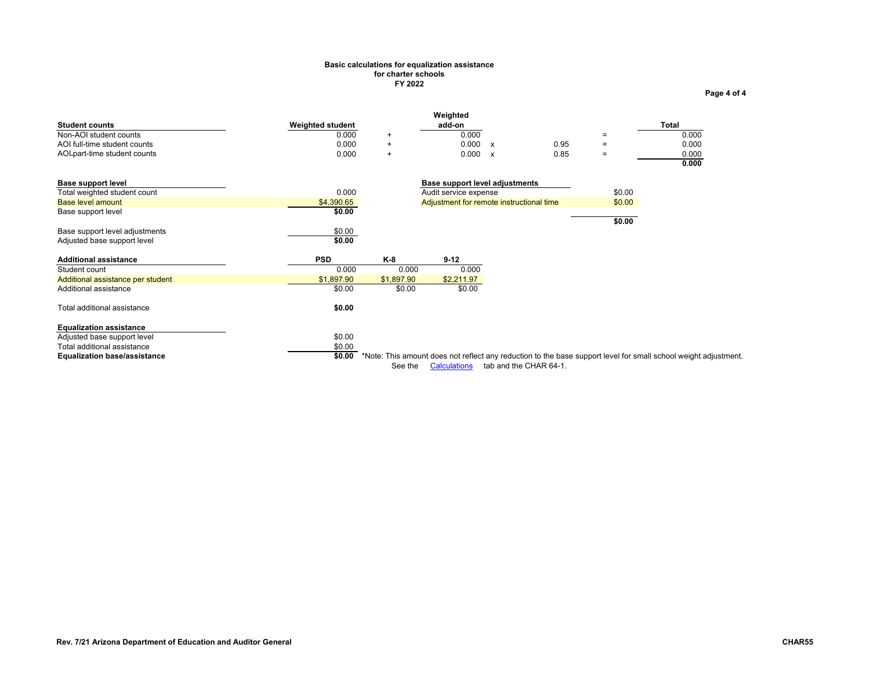## **Basic calculations for equalization assistance for charter schools FY 2022**

<span id="page-13-0"></span>

|                                     |                         |            | Weighted                                 |              |                        |                   |                                                                                                                 |
|-------------------------------------|-------------------------|------------|------------------------------------------|--------------|------------------------|-------------------|-----------------------------------------------------------------------------------------------------------------|
| <b>Student counts</b>               | <b>Weighted student</b> |            | add-on                                   |              |                        |                   | Total                                                                                                           |
| Non-AOI student counts              | 0.000                   | $+$        | 0.000                                    |              |                        | $=$               | 0.000                                                                                                           |
| AOI full-time student counts        | 0.000                   | $\ddot{}$  | 0.000                                    | $\mathsf{x}$ | 0.95                   | $\equiv$          | 0.000                                                                                                           |
| AOI-part-time student counts        | 0.000                   | $\ddot{}$  | 0.000                                    | $\mathsf{x}$ | 0.85                   | $\qquad \qquad =$ | 0.000                                                                                                           |
|                                     |                         |            |                                          |              |                        |                   | 0.000                                                                                                           |
| <b>Base support level</b>           |                         |            | Base support level adjustments           |              |                        |                   |                                                                                                                 |
| Total weighted student count        | 0.000                   |            | Audit service expense                    |              |                        | \$0.00            |                                                                                                                 |
| Base level amount                   | \$4,390.65              |            | Adjustment for remote instructional time |              |                        | \$0.00            |                                                                                                                 |
| Base support level                  | \$0.00                  |            |                                          |              |                        |                   |                                                                                                                 |
|                                     |                         |            |                                          |              |                        | \$0.00            |                                                                                                                 |
| Base support level adjustments      | \$0.00                  |            |                                          |              |                        |                   |                                                                                                                 |
| Adjusted base support level         | \$0.00                  |            |                                          |              |                        |                   |                                                                                                                 |
| <b>Additional assistance</b>        | <b>PSD</b>              | K-8        | $9-12$                                   |              |                        |                   |                                                                                                                 |
| Student count                       | 0.000                   | 0.000      | 0.000                                    |              |                        |                   |                                                                                                                 |
| Additional assistance per student   | \$1,897.90              | \$1,897.90 | \$2,211.97                               |              |                        |                   |                                                                                                                 |
| Additional assistance               | \$0.00                  | \$0.00     | \$0.00                                   |              |                        |                   |                                                                                                                 |
| Total additional assistance         | \$0.00                  |            |                                          |              |                        |                   |                                                                                                                 |
| <b>Equalization assistance</b>      |                         |            |                                          |              |                        |                   |                                                                                                                 |
| Adjusted base support level         | \$0.00                  |            |                                          |              |                        |                   |                                                                                                                 |
| Total additional assistance         | \$0.00                  |            |                                          |              |                        |                   |                                                                                                                 |
| <b>Equalization base/assistance</b> | \$0.00                  |            |                                          |              |                        |                   | *Note: This amount does not reflect any reduction to the base support level for small school weight adjustment. |
|                                     |                         | See the    | <b>Calculations</b>                      |              | tab and the CHAR 64-1. |                   |                                                                                                                 |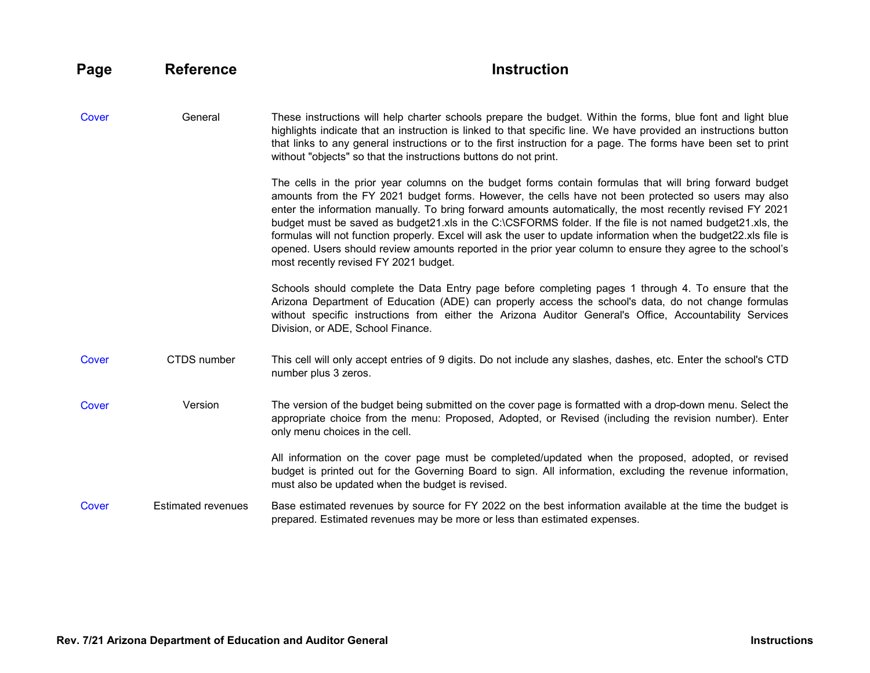<span id="page-14-1"></span><span id="page-14-0"></span>

| Page  | <b>Reference</b>          | <b>Instruction</b>                                                                                                                                                                                                                                                                                                                                                                                                                                                                                                                                                                                                                                                                                                  |
|-------|---------------------------|---------------------------------------------------------------------------------------------------------------------------------------------------------------------------------------------------------------------------------------------------------------------------------------------------------------------------------------------------------------------------------------------------------------------------------------------------------------------------------------------------------------------------------------------------------------------------------------------------------------------------------------------------------------------------------------------------------------------|
| Cover | General                   | These instructions will help charter schools prepare the budget. Within the forms, blue font and light blue<br>highlights indicate that an instruction is linked to that specific line. We have provided an instructions button<br>that links to any general instructions or to the first instruction for a page. The forms have been set to print<br>without "objects" so that the instructions buttons do not print.                                                                                                                                                                                                                                                                                              |
|       |                           | The cells in the prior year columns on the budget forms contain formulas that will bring forward budget<br>amounts from the FY 2021 budget forms. However, the cells have not been protected so users may also<br>enter the information manually. To bring forward amounts automatically, the most recently revised FY 2021<br>budget must be saved as budget21.xls in the C:\CSFORMS folder. If the file is not named budget21.xls, the<br>formulas will not function properly. Excel will ask the user to update information when the budget22.xls file is<br>opened. Users should review amounts reported in the prior year column to ensure they agree to the school's<br>most recently revised FY 2021 budget. |
|       |                           | Schools should complete the Data Entry page before completing pages 1 through 4. To ensure that the<br>Arizona Department of Education (ADE) can properly access the school's data, do not change formulas<br>without specific instructions from either the Arizona Auditor General's Office, Accountability Services<br>Division, or ADE, School Finance.                                                                                                                                                                                                                                                                                                                                                          |
| Cover | <b>CTDS</b> number        | This cell will only accept entries of 9 digits. Do not include any slashes, dashes, etc. Enter the school's CTD<br>number plus 3 zeros.                                                                                                                                                                                                                                                                                                                                                                                                                                                                                                                                                                             |
| Cover | Version                   | The version of the budget being submitted on the cover page is formatted with a drop-down menu. Select the<br>appropriate choice from the menu: Proposed, Adopted, or Revised (including the revision number). Enter<br>only menu choices in the cell.                                                                                                                                                                                                                                                                                                                                                                                                                                                              |
|       |                           | All information on the cover page must be completed/updated when the proposed, adopted, or revised<br>budget is printed out for the Governing Board to sign. All information, excluding the revenue information,<br>must also be updated when the budget is revised.                                                                                                                                                                                                                                                                                                                                                                                                                                                |
| Cover | <b>Estimated revenues</b> | Base estimated revenues by source for FY 2022 on the best information available at the time the budget is<br>prepared. Estimated revenues may be more or less than estimated expenses.                                                                                                                                                                                                                                                                                                                                                                                                                                                                                                                              |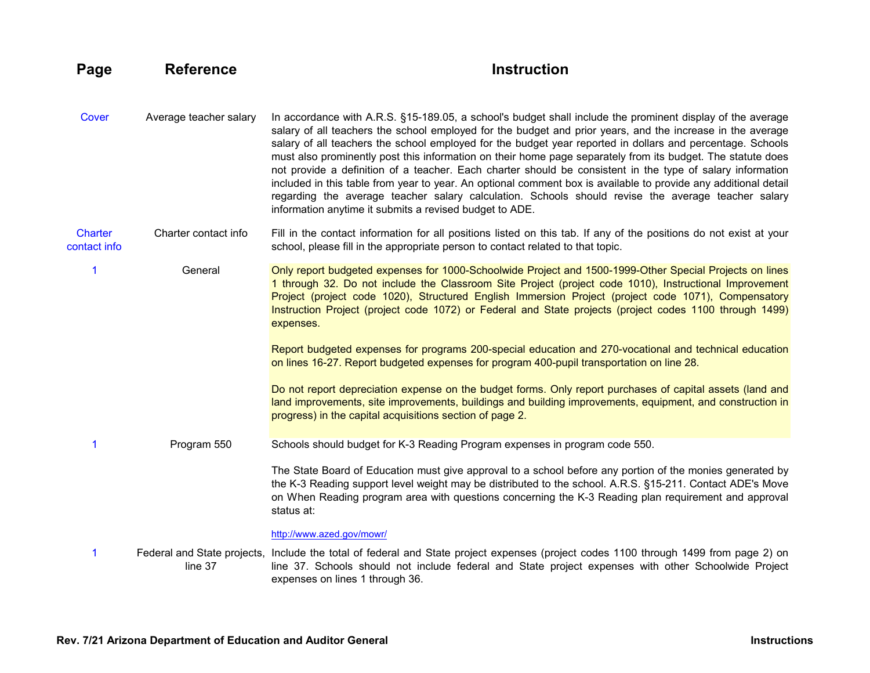## <span id="page-15-0"></span>**Page Reference Reference Instruction**

<span id="page-15-3"></span><span id="page-15-2"></span><span id="page-15-1"></span>[Cover](#page-0-0) Average teacher salary In accordance with A.R.S. §15-189.05, a school's budget shall include the prominent display of the average salary of all teachers the school employed for the budget and prior years, and the increase in the average salary of all teachers the school employed for the budget year reported in dollars and percentage. Schools must also prominently post this information on their home page separately from its budget. The statute does not provide a definition of a teacher. Each charter should be consistent in the type of salary information included in this table from year to year. An optional comment box is available to provide any additional detail regarding the average teacher salary calculation. Schools should revise the average teacher salary information anytime it submits a revised budget to ADE. **Charter** contact info Charter contact info Fill in the contact information for all positions listed on this tab. If any of the positions do not exist at your school, please fill in the appropriate person to contact related to that topic. [1](#page-2-0) General Only report budgeted expenses for 1000-Schoolwide Project and 1500-1999-Other Special Projects on lines 1 through 32. Do not include the Classroom Site Project (project code 1010), Instructional Improvement Project (project code 1020), Structured English Immersion Project (project code 1071), Compensatory Instruction Project (project code 1072) or Federal and State projects (project codes 1100 through 1499) expenses. Report budgeted expenses for programs 200-special education and 270-vocational and technical education on lines 16-27. Report budgeted expenses for program 400-pupil transportation on line 28. Do not report depreciation expense on the budget forms. Only report purchases of capital assets (land and land improvements, site improvements, buildings and building improvements, equipment, and construction in progress) in the capital acquisitions section of page 2. [1](#page-2-0) Program 550 Schools should budget for K-3 Reading Program expenses in program code 550. The State Board of Education must give approval to a school before any portion of the monies generated by the K-3 Reading support level weight may be distributed to the school. A.R.S. §15-211. Contact ADE's Move on When Reading program area with questions concerning the K-3 Reading plan requirement and approval status at: <http://www.azed.gov/mowr/> [1](#page-2-0) Federal and State projects, Include the total of federal and State project expenses (project codes 1100 through 1499 from page 2) on line 37 line 37. Schools should not include federal and State project expenses with other Schoolwide Project expenses on lines 1 through 36.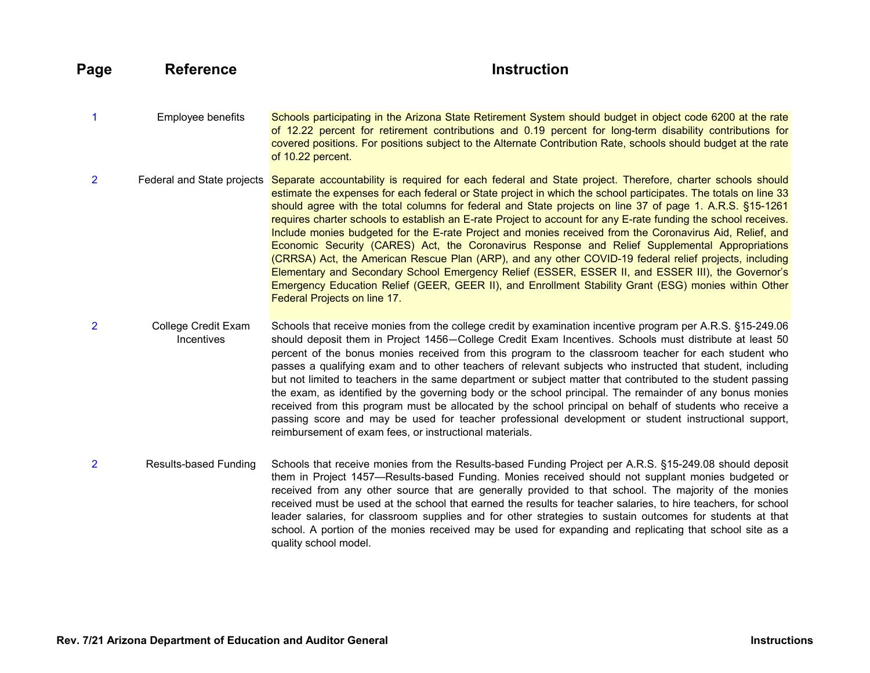**Page Reference Reference Instruction** 

<span id="page-16-3"></span><span id="page-16-2"></span><span id="page-16-1"></span><span id="page-16-0"></span>[1](#page-2-0) Employee benefits Schools participating in the Arizona State Retirement System should budget in object code 6200 at the rate of 12.22 percent for retirement contributions and 0.19 percent for long-term disability contributions for covered positions. For positions subject to the Alternate Contribution Rate, schools should budget at the rate of 10.22 percent. [2](#page-3-0) Federal and State projects Separate accountability is required for each federal and State project. Therefore, charter schools should estimate the expenses for each federal or State project in which the school participates. The totals on line 33 should agree with the total columns for federal and State projects on line 37 of page 1. A.R.S. §15-1261 requires charter schools to establish an E-rate Project to account for any E-rate funding the school receives. Include monies budgeted for the E-rate Project and monies received from the Coronavirus Aid, Relief, and Economic Security (CARES) Act, the Coronavirus Response and Relief Supplemental Appropriations (CRRSA) Act, the American Rescue Plan (ARP), and any other COVID-19 federal relief projects, including Elementary and Secondary School Emergency Relief (ESSER, ESSER II, and ESSER III), the Governor's Emergency Education Relief (GEER, GEER II), and Enrollment Stability Grant (ESG) monies within Other Federal Projects on line 17. [2](#page-3-0) College Credit Exam **Incentives** Schools that receive monies from the college credit by examination incentive program per A.R.S. §15-249.06 should deposit them in Project 1456—College Credit Exam Incentives. Schools must distribute at least 50 percent of the bonus monies received from this program to the classroom teacher for each student who passes a qualifying exam and to other teachers of relevant subjects who instructed that student, including but not limited to teachers in the same department or subject matter that contributed to the student passing the exam, as identified by the governing body or the school principal. The remainder of any bonus monies received from this program must be allocated by the school principal on behalf of students who receive a passing score and may be used for teacher professional development or student instructional support, reimbursement of exam fees, or instructional materials. [2](#page-3-0) Results-based Funding Schools that receive monies from the Results-based Funding Project per A.R.S. §15-249.08 should deposit them in Project 1457—Results-based Funding. Monies received should not supplant monies budgeted or received from any other source that are generally provided to that school. The majority of the monies received must be used at the school that earned the results for teacher salaries, to hire teachers, for school leader salaries, for classroom supplies and for other strategies to sustain outcomes for students at that school. A portion of the monies received may be used for expanding and replicating that school site as a quality school model.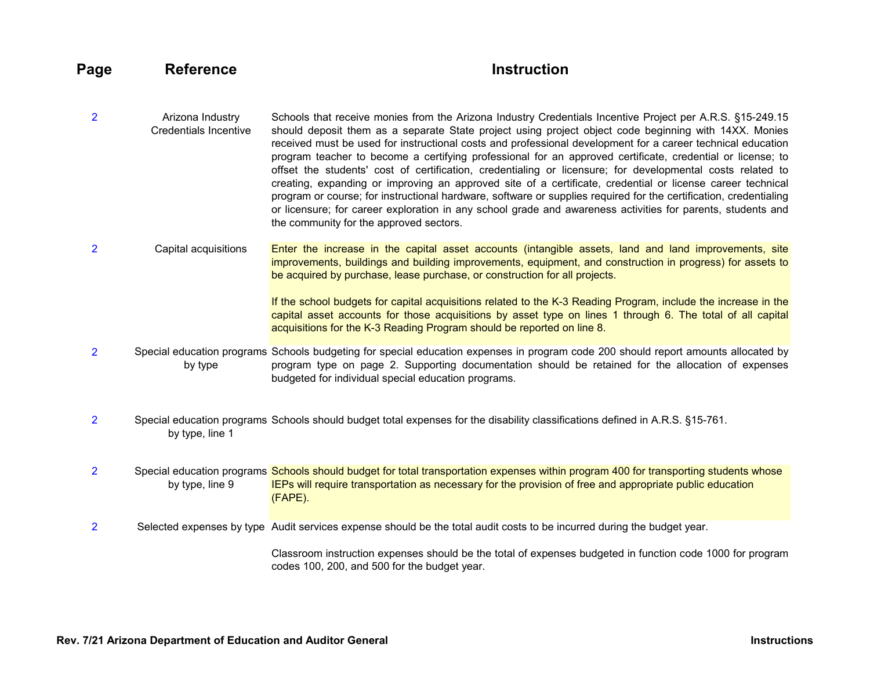# **Page** Reference **Instruction**

- <span id="page-17-3"></span>[2](#page-3-0) Arizona Industry Credentials Incentive Schools that receive monies from the Arizona Industry Credentials Incentive Project per A.R.S. §15-249.15 should deposit them as a separate State project using project object code beginning with 14XX. Monies received must be used for instructional costs and professional development for a career technical education program teacher to become a certifying professional for an approved certificate, credential or license; to offset the students' cost of certification, credentialing or licensure; for developmental costs related to creating, expanding or improving an approved site of a certificate, credential or license career technical program or course; for instructional hardware, software or supplies required for the certification, credentialing or licensure; for career exploration in any school grade and awareness activities for parents, students and the community for the approved sectors.
- [2](#page-3-0) Capital acquisitions Enter the increase in the capital asset accounts (intangible assets, land and land improvements, site improvements, buildings and building improvements, equipment, and construction in progress) for assets to be acquired by purchase, lease purchase, or construction for all projects.

<span id="page-17-4"></span><span id="page-17-1"></span><span id="page-17-0"></span>If the school budgets for capital acquisitions related to the K-3 Reading Program, include the increase in the capital asset accounts for those acquisitions by asset type on lines 1 through 6. The total of all capital acquisitions for the K-3 Reading Program should be reported on line 8.

- [2](#page-3-0) Special education programs Schools budgeting for special education expenses in program code 200 should report amounts allocated by by type program type on page 2. Supporting documentation should be retained for the allocation of expenses budgeted for individual special education programs.
- [2](#page-3-0) Special education programs Schools should budget total expenses for the disability classifications defined in A.R.S. §15-761. by type, line 1

[2](#page-3-0) Special education programs Schools should budget for total transportation expenses within program 400 for transporting students whose by type, line 9 IEPs will require transportation as necessary for the provision of free and appropriate public education (FAPE).

[2](#page-3-0) Selected expenses by type Audit services expense should be the total audit costs to be incurred during the budget year.

<span id="page-17-5"></span><span id="page-17-2"></span>Classroom instruction expenses should be the total of expenses budgeted in function code 1000 for program codes 100, 200, and 500 for the budget year.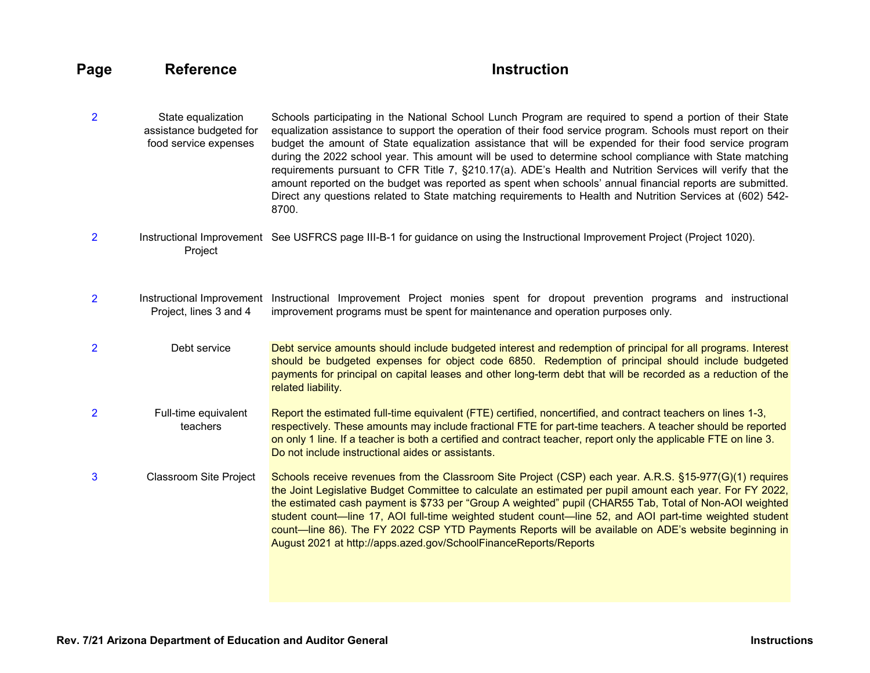# **Page** Reference **Instruction**

- <span id="page-18-2"></span>[2](#page-3-0) State equalization assistance budgeted for food service expenses Schools participating in the National School Lunch Program are required to spend a portion of their State equalization assistance to support the operation of their food service program. Schools must report on their budget the amount of State equalization assistance that will be expended for their food service program during the 2022 school year. This amount will be used to determine school compliance with State matching requirements pursuant to CFR Title 7, §210.17(a). ADE's Health and Nutrition Services will verify that the amount reported on the budget was reported as spent when schools' annual financial reports are submitted. Direct any questions related to State matching requirements to Health and Nutrition Services at (602) 542- 8700.
- <span id="page-18-0"></span>[2](#page-3-0) Instructional Improvement See USFRCS page III-B-1 for guidance on using the Instructional Improvement Project (Project 1020). Project
- <span id="page-18-1"></span>[2](#page-3-0) Instructional Improvement Instructional Improvement Project monies spent for dropout prevention programs and instructional Project, lines 3 and 4 improvement programs must be spent for maintenance and operation purposes only.
- <span id="page-18-3"></span>[2](#page-3-0) Debt service Debt service amounts should include budgeted interest and redemption of principal for all programs. Interest should be budgeted expenses for object code 6850. Redemption of principal should include budgeted payments for principal on capital leases and other long-term debt that will be recorded as a reduction of the related liability.
- <span id="page-18-4"></span>[2](#page-3-0) Full-time equivalent teachers Report the estimated full-time equivalent (FTE) certified, noncertified, and contract teachers on lines 1-3, respectively. These amounts may include fractional FTE for part-time teachers. A teacher should be reported on only 1 line. If a teacher is both a certified and contract teacher, report only the applicable FTE on line 3. Do not include instructional aides or assistants.
- <span id="page-18-5"></span>[3](#page-4-0) Classroom Site Project Schools receive revenues from the Classroom Site Project (CSP) each year. A.R.S. §15-977(G)(1) requires the Joint Legislative Budget Committee to calculate an estimated per pupil amount each year. For FY 2022, the estimated cash payment is \$733 per "Group A weighted" pupil (CHAR55 Tab, Total of Non-AOI weighted student count—line 17, AOI full-time weighted student count—line 52, and AOI part-time weighted student count—line 86). The FY 2022 CSP YTD Payments Reports will be available on ADE's website beginning in August 2021 at http://apps.azed.gov/SchoolFinanceReports/Reports